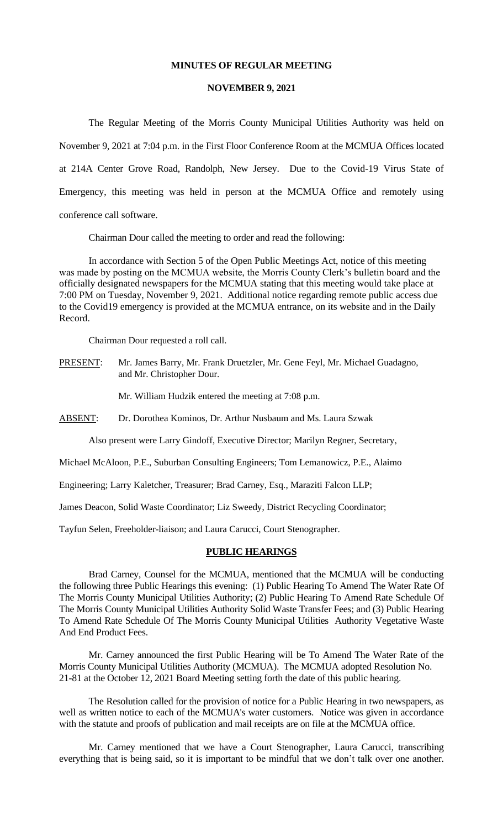#### **MINUTES OF REGULAR MEETING**

#### **NOVEMBER 9, 2021**

The Regular Meeting of the Morris County Municipal Utilities Authority was held on November 9, 2021 at 7:04 p.m. in the First Floor Conference Room at the MCMUA Offices located at 214A Center Grove Road, Randolph, New Jersey. Due to the Covid-19 Virus State of Emergency, this meeting was held in person at the MCMUA Office and remotely using conference call software.

Chairman Dour called the meeting to order and read the following:

In accordance with Section 5 of the Open Public Meetings Act, notice of this meeting was made by posting on the MCMUA website, the Morris County Clerk's bulletin board and the officially designated newspapers for the MCMUA stating that this meeting would take place at 7:00 PM on Tuesday, November 9, 2021. Additional notice regarding remote public access due to the Covid19 emergency is provided at the MCMUA entrance, on its website and in the Daily Record.

Chairman Dour requested a roll call.

PRESENT: Mr. James Barry, Mr. Frank Druetzler, Mr. Gene Feyl, Mr. Michael Guadagno, and Mr. Christopher Dour.

Mr. William Hudzik entered the meeting at 7:08 p.m.

ABSENT: Dr. Dorothea Kominos, Dr. Arthur Nusbaum and Ms. Laura Szwak

Also present were Larry Gindoff, Executive Director; Marilyn Regner, Secretary,

Michael McAloon, P.E., Suburban Consulting Engineers; Tom Lemanowicz, P.E., Alaimo

Engineering; Larry Kaletcher, Treasurer; Brad Carney, Esq., Maraziti Falcon LLP;

James Deacon, Solid Waste Coordinator; Liz Sweedy, District Recycling Coordinator;

Tayfun Selen, Freeholder-liaison; and Laura Carucci, Court Stenographer.

#### **PUBLIC HEARINGS**

Brad Carney, Counsel for the MCMUA, mentioned that the MCMUA will be conducting the following three Public Hearings this evening: (1) Public Hearing To Amend The Water Rate Of The Morris County Municipal Utilities Authority; (2) Public Hearing To Amend Rate Schedule Of The Morris County Municipal Utilities Authority Solid Waste Transfer Fees; and (3) Public Hearing To Amend Rate Schedule Of The Morris County Municipal Utilities Authority Vegetative Waste And End Product Fees.

Mr. Carney announced the first Public Hearing will be To Amend The Water Rate of the Morris County Municipal Utilities Authority (MCMUA). The MCMUA adopted Resolution No. 21-81 at the October 12, 2021 Board Meeting setting forth the date of this public hearing.

The Resolution called for the provision of notice for a Public Hearing in two newspapers, as well as written notice to each of the MCMUA's water customers. Notice was given in accordance with the statute and proofs of publication and mail receipts are on file at the MCMUA office.

Mr. Carney mentioned that we have a Court Stenographer, Laura Carucci, transcribing everything that is being said, so it is important to be mindful that we don't talk over one another.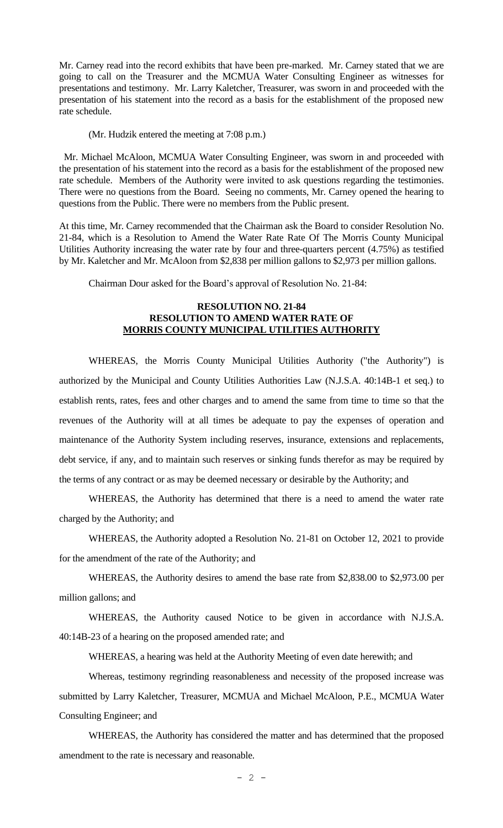Mr. Carney read into the record exhibits that have been pre-marked. Mr. Carney stated that we are going to call on the Treasurer and the MCMUA Water Consulting Engineer as witnesses for presentations and testimony. Mr. Larry Kaletcher, Treasurer, was sworn in and proceeded with the presentation of his statement into the record as a basis for the establishment of the proposed new rate schedule.

(Mr. Hudzik entered the meeting at 7:08 p.m.)

 Mr. Michael McAloon, MCMUA Water Consulting Engineer, was sworn in and proceeded with the presentation of his statement into the record as a basis for the establishment of the proposed new rate schedule. Members of the Authority were invited to ask questions regarding the testimonies. There were no questions from the Board. Seeing no comments, Mr. Carney opened the hearing to questions from the Public. There were no members from the Public present.

At this time, Mr. Carney recommended that the Chairman ask the Board to consider Resolution No. 21-84, which is a Resolution to Amend the Water Rate Rate Of The Morris County Municipal Utilities Authority increasing the water rate by four and three-quarters percent (4.75%) as testified by Mr. Kaletcher and Mr. McAloon from \$2,838 per million gallons to \$2,973 per million gallons.

Chairman Dour asked for the Board's approval of Resolution No. 21-84:

#### **RESOLUTION NO. 21-84 RESOLUTION TO AMEND WATER RATE OF MORRIS COUNTY MUNICIPAL UTILITIES AUTHORITY**

WHEREAS, the Morris County Municipal Utilities Authority ("the Authority") is authorized by the Municipal and County Utilities Authorities Law (N.J.S.A. 40:14B-1 et seq.) to establish rents, rates, fees and other charges and to amend the same from time to time so that the revenues of the Authority will at all times be adequate to pay the expenses of operation and maintenance of the Authority System including reserves, insurance, extensions and replacements, debt service, if any, and to maintain such reserves or sinking funds therefor as may be required by the terms of any contract or as may be deemed necessary or desirable by the Authority; and

WHEREAS, the Authority has determined that there is a need to amend the water rate charged by the Authority; and

WHEREAS, the Authority adopted a Resolution No. 21-81 on October 12, 2021 to provide for the amendment of the rate of the Authority; and

WHEREAS, the Authority desires to amend the base rate from \$2,838.00 to \$2,973.00 per million gallons; and

WHEREAS, the Authority caused Notice to be given in accordance with N.J.S.A. 40:14B-23 of a hearing on the proposed amended rate; and

WHEREAS, a hearing was held at the Authority Meeting of even date herewith; and

Whereas, testimony regrinding reasonableness and necessity of the proposed increase was submitted by Larry Kaletcher, Treasurer, MCMUA and Michael McAloon, P.E., MCMUA Water Consulting Engineer; and

WHEREAS, the Authority has considered the matter and has determined that the proposed amendment to the rate is necessary and reasonable.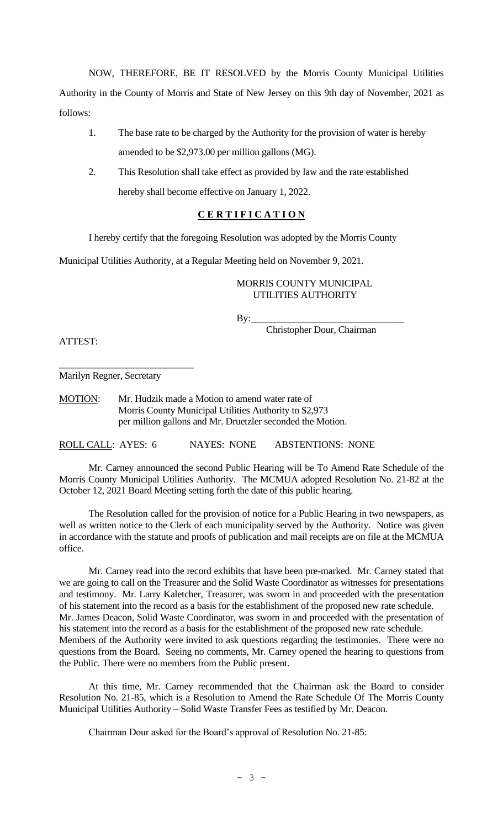NOW, THEREFORE, BE IT RESOLVED by the Morris County Municipal Utilities Authority in the County of Morris and State of New Jersey on this 9th day of November, 2021 as follows:

- 1. The base rate to be charged by the Authority for the provision of water is hereby amended to be \$2,973.00 per million gallons (MG).
- 2. This Resolution shall take effect as provided by law and the rate established hereby shall become effective on January 1, 2022.

# **C E R T I F I C A T I O N**

I hereby certify that the foregoing Resolution was adopted by the Morris County

Municipal Utilities Authority, at a Regular Meeting held on November 9, 2021.

## MORRIS COUNTY MUNICIPAL UTILITIES AUTHORITY

 $By:$ 

Christopher Dour, Chairman

ATTEST:

\_\_\_\_\_\_\_\_\_\_\_\_\_\_\_\_\_\_\_\_\_\_\_\_\_\_\_\_ Marilyn Regner, Secretary

MOTION: Mr. Hudzik made a Motion to amend water rate of Morris County Municipal Utilities Authority to \$2,973 per million gallons and Mr. Druetzler seconded the Motion.

ROLL CALL: AYES: 6 NAYES: NONE ABSTENTIONS: NONE

Mr. Carney announced the second Public Hearing will be To Amend Rate Schedule of the Morris County Municipal Utilities Authority. The MCMUA adopted Resolution No. 21-82 at the October 12, 2021 Board Meeting setting forth the date of this public hearing.

The Resolution called for the provision of notice for a Public Hearing in two newspapers, as well as written notice to the Clerk of each municipality served by the Authority. Notice was given in accordance with the statute and proofs of publication and mail receipts are on file at the MCMUA office.

Mr. Carney read into the record exhibits that have been pre-marked. Mr. Carney stated that we are going to call on the Treasurer and the Solid Waste Coordinator as witnesses for presentations and testimony. Mr. Larry Kaletcher, Treasurer, was sworn in and proceeded with the presentation of his statement into the record as a basis for the establishment of the proposed new rate schedule. Mr. James Deacon, Solid Waste Coordinator, was sworn in and proceeded with the presentation of his statement into the record as a basis for the establishment of the proposed new rate schedule. Members of the Authority were invited to ask questions regarding the testimonies. There were no questions from the Board. Seeing no comments, Mr. Carney opened the hearing to questions from the Public. There were no members from the Public present.

At this time, Mr. Carney recommended that the Chairman ask the Board to consider Resolution No. 21-85, which is a Resolution to Amend the Rate Schedule Of The Morris County Municipal Utilities Authority – Solid Waste Transfer Fees as testified by Mr. Deacon.

Chairman Dour asked for the Board's approval of Resolution No. 21-85: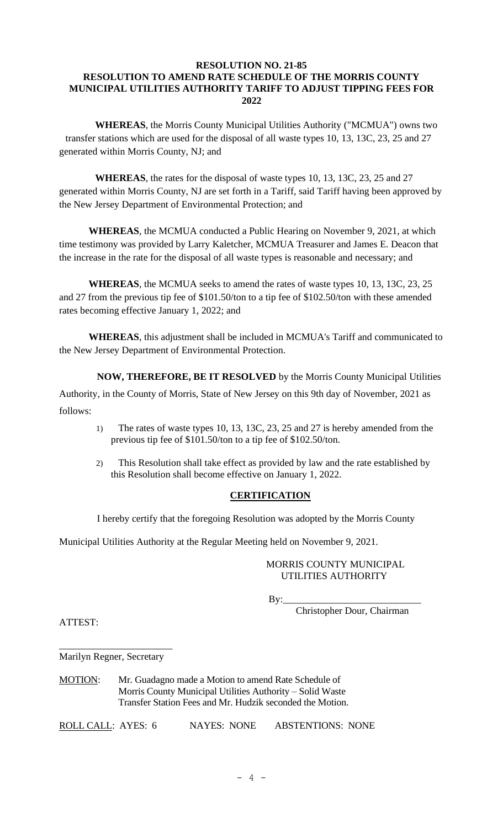# **RESOLUTION NO. 21-85 RESOLUTION TO AMEND RATE SCHEDULE OF THE MORRIS COUNTY MUNICIPAL UTILITIES AUTHORITY TARIFF TO ADJUST TIPPING FEES FOR 2022**

**WHEREAS**, the Morris County Municipal Utilities Authority ("MCMUA") owns two transfer stations which are used for the disposal of all waste types 10, 13, 13C, 23, 25 and 27 generated within Morris County, NJ; and

**WHEREAS**, the rates for the disposal of waste types 10, 13, 13C, 23, 25 and 27 generated within Morris County, NJ are set forth in a Tariff, said Tariff having been approved by the New Jersey Department of Environmental Protection; and

**WHEREAS**, the MCMUA conducted a Public Hearing on November 9, 2021, at which time testimony was provided by Larry Kaletcher, MCMUA Treasurer and James E. Deacon that the increase in the rate for the disposal of all waste types is reasonable and necessary; and

**WHEREAS**, the MCMUA seeks to amend the rates of waste types 10, 13, 13C, 23, 25 and 27 from the previous tip fee of \$101.50/ton to a tip fee of \$102.50/ton with these amended rates becoming effective January 1, 2022; and

**WHEREAS**, this adjustment shall be included in MCMUA's Tariff and communicated to the New Jersey Department of Environmental Protection.

**NOW, THEREFORE, BE IT RESOLVED** by the Morris County Municipal Utilities

Authority, in the County of Morris, State of New Jersey on this 9th day of November, 2021 as follows:

- 1) The rates of waste types 10, 13, 13C, 23, 25 and 27 is hereby amended from the previous tip fee of \$101.50/ton to a tip fee of \$102.50/ton.
- 2) This Resolution shall take effect as provided by law and the rate established by this Resolution shall become effective on January 1, 2022.

# **CERTIFICATION**

I hereby certify that the foregoing Resolution was adopted by the Morris County

Municipal Utilities Authority at the Regular Meeting held on November 9, 2021.

## MORRIS COUNTY MUNICIPAL UTILITIES AUTHORITY

By:\_\_\_\_\_\_\_\_\_\_\_\_\_\_\_\_\_\_\_\_\_\_\_\_\_\_\_\_

Christopher Dour, Chairman

ATTEST:

\_\_\_\_\_\_\_\_\_\_\_\_\_\_\_\_\_\_\_\_\_\_\_ Marilyn Regner, Secretary

MOTION: Mr. Guadagno made a Motion to amend Rate Schedule of Morris County Municipal Utilities Authority – Solid Waste Transfer Station Fees and Mr. Hudzik seconded the Motion.

ROLL CALL: AYES: 6 NAYES: NONE ABSTENTIONS: NONE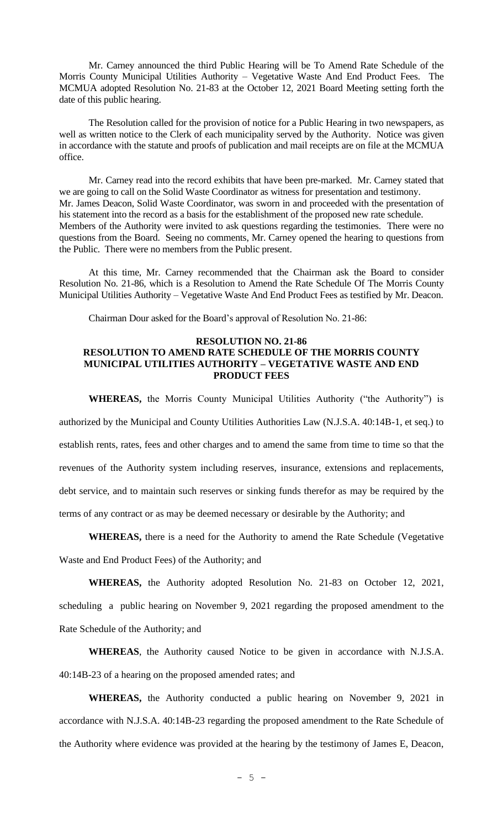Mr. Carney announced the third Public Hearing will be To Amend Rate Schedule of the Morris County Municipal Utilities Authority – Vegetative Waste And End Product Fees. The MCMUA adopted Resolution No. 21-83 at the October 12, 2021 Board Meeting setting forth the date of this public hearing.

The Resolution called for the provision of notice for a Public Hearing in two newspapers, as well as written notice to the Clerk of each municipality served by the Authority. Notice was given in accordance with the statute and proofs of publication and mail receipts are on file at the MCMUA office.

Mr. Carney read into the record exhibits that have been pre-marked. Mr. Carney stated that we are going to call on the Solid Waste Coordinator as witness for presentation and testimony. Mr. James Deacon, Solid Waste Coordinator, was sworn in and proceeded with the presentation of his statement into the record as a basis for the establishment of the proposed new rate schedule. Members of the Authority were invited to ask questions regarding the testimonies. There were no questions from the Board. Seeing no comments, Mr. Carney opened the hearing to questions from the Public. There were no members from the Public present.

At this time, Mr. Carney recommended that the Chairman ask the Board to consider Resolution No. 21-86, which is a Resolution to Amend the Rate Schedule Of The Morris County Municipal Utilities Authority – Vegetative Waste And End Product Fees as testified by Mr. Deacon.

Chairman Dour asked for the Board's approval of Resolution No. 21-86:

#### **RESOLUTION NO. 21-86 RESOLUTION TO AMEND RATE SCHEDULE OF THE MORRIS COUNTY MUNICIPAL UTILITIES AUTHORITY – VEGETATIVE WASTE AND END PRODUCT FEES**

**WHEREAS,** the Morris County Municipal Utilities Authority ("the Authority") is authorized by the Municipal and County Utilities Authorities Law (N.J.S.A. 40:14B-1, et seq.) to establish rents, rates, fees and other charges and to amend the same from time to time so that the revenues of the Authority system including reserves, insurance, extensions and replacements, debt service, and to maintain such reserves or sinking funds therefor as may be required by the terms of any contract or as may be deemed necessary or desirable by the Authority; and

**WHEREAS,** there is a need for the Authority to amend the Rate Schedule (Vegetative Waste and End Product Fees) of the Authority; and

**WHEREAS,** the Authority adopted Resolution No. 21-83 on October 12, 2021, scheduling a public hearing on November 9, 2021 regarding the proposed amendment to the Rate Schedule of the Authority; and

**WHEREAS**, the Authority caused Notice to be given in accordance with N.J.S.A. 40:14B-23 of a hearing on the proposed amended rates; and

**WHEREAS,** the Authority conducted a public hearing on November 9, 2021 in accordance with N.J.S.A. 40:14B-23 regarding the proposed amendment to the Rate Schedule of the Authority where evidence was provided at the hearing by the testimony of James E, Deacon,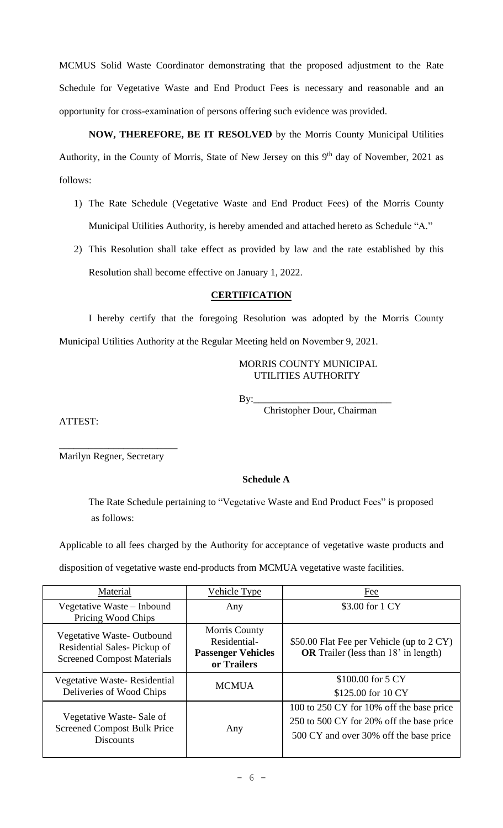MCMUS Solid Waste Coordinator demonstrating that the proposed adjustment to the Rate Schedule for Vegetative Waste and End Product Fees is necessary and reasonable and an opportunity for cross-examination of persons offering such evidence was provided.

**NOW, THEREFORE, BE IT RESOLVED** by the Morris County Municipal Utilities Authority, in the County of Morris, State of New Jersey on this 9<sup>th</sup> day of November, 2021 as follows:

- 1) The Rate Schedule (Vegetative Waste and End Product Fees) of the Morris County Municipal Utilities Authority, is hereby amended and attached hereto as Schedule "A."
- 2) This Resolution shall take effect as provided by law and the rate established by this Resolution shall become effective on January 1, 2022.

# **CERTIFICATION**

I hereby certify that the foregoing Resolution was adopted by the Morris County Municipal Utilities Authority at the Regular Meeting held on November 9, 2021.

### MORRIS COUNTY MUNICIPAL UTILITIES AUTHORITY

By:\_\_\_\_\_\_\_\_\_\_\_\_\_\_\_\_\_\_\_\_\_\_\_\_\_\_\_\_

Christopher Dour, Chairman

ATTEST:

\_\_\_\_\_\_\_\_\_\_\_\_\_\_\_\_\_\_\_\_\_\_\_\_ Marilyn Regner, Secretary

# **Schedule A**

The Rate Schedule pertaining to "Vegetative Waste and End Product Fees" is proposed as follows:

Applicable to all fees charged by the Authority for acceptance of vegetative waste products and

disposition of vegetative waste end-products from MCMUA vegetative waste facilities.

| Material                                                                                      | Vehicle Type                                                                     | Fee                                                                                                                            |
|-----------------------------------------------------------------------------------------------|----------------------------------------------------------------------------------|--------------------------------------------------------------------------------------------------------------------------------|
| Vegetative Waste – Inbound<br>Pricing Wood Chips                                              | Any                                                                              | \$3.00 for 1 CY                                                                                                                |
| Vegetative Waste-Outbound<br>Residential Sales-Pickup of<br><b>Screened Compost Materials</b> | <b>Morris County</b><br>Residential-<br><b>Passenger Vehicles</b><br>or Trailers | \$50.00 Flat Fee per Vehicle (up to 2 CY)<br><b>OR</b> Trailer (less than 18' in length)                                       |
| Vegetative Waste-Residential<br>Deliveries of Wood Chips                                      | <b>MCMUA</b>                                                                     | \$100.00 for 5 CY<br>\$125.00 for 10 CY                                                                                        |
| Vegetative Waste-Sale of<br><b>Screened Compost Bulk Price</b><br><b>Discounts</b>            | Any                                                                              | 100 to 250 CY for 10% off the base price<br>250 to 500 CY for 20% off the base price<br>500 CY and over 30% off the base price |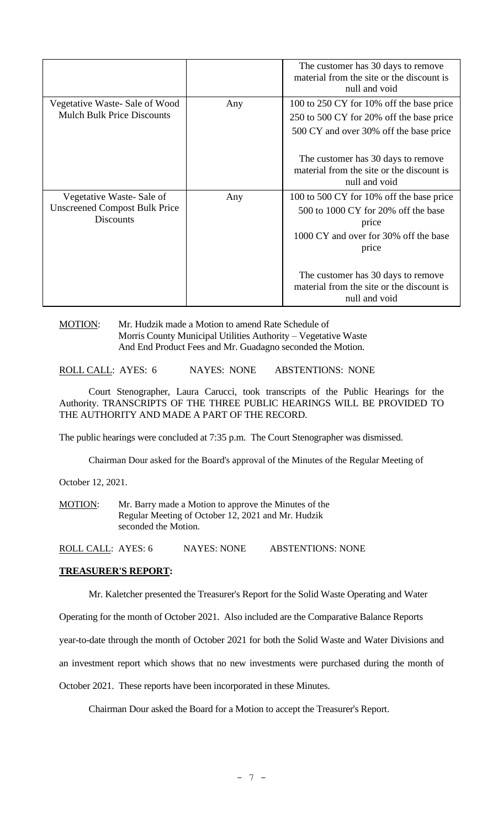|                                                                                      |     | The customer has 30 days to remove<br>material from the site or the discount is<br>null and void                                           |
|--------------------------------------------------------------------------------------|-----|--------------------------------------------------------------------------------------------------------------------------------------------|
| Vegetative Waste- Sale of Wood<br><b>Mulch Bulk Price Discounts</b>                  | Any | 100 to 250 CY for 10% off the base price<br>250 to 500 CY for 20% off the base price<br>500 CY and over 30% off the base price             |
|                                                                                      |     | The customer has 30 days to remove<br>material from the site or the discount is<br>null and void                                           |
| Vegetative Waste-Sale of<br><b>Unscreened Compost Bulk Price</b><br><b>Discounts</b> | Any | 100 to 500 CY for 10% off the base price<br>500 to 1000 CY for 20% off the base<br>price<br>1000 CY and over for 30% off the base<br>price |
|                                                                                      |     | The customer has 30 days to remove<br>material from the site or the discount is<br>null and void                                           |

## MOTION: Mr. Hudzik made a Motion to amend Rate Schedule of Morris County Municipal Utilities Authority – Vegetative Waste And End Product Fees and Mr. Guadagno seconded the Motion.

ROLL CALL: AYES: 6 NAYES: NONE ABSTENTIONS: NONE

Court Stenographer, Laura Carucci, took transcripts of the Public Hearings for the Authority. TRANSCRIPTS OF THE THREE PUBLIC HEARINGS WILL BE PROVIDED TO THE AUTHORITY AND MADE A PART OF THE RECORD.

The public hearings were concluded at 7:35 p.m. The Court Stenographer was dismissed.

Chairman Dour asked for the Board's approval of the Minutes of the Regular Meeting of

October 12, 2021.

MOTION: Mr. Barry made a Motion to approve the Minutes of the Regular Meeting of October 12, 2021 and Mr. Hudzik seconded the Motion.

ROLL CALL: AYES: 6 NAYES: NONE ABSTENTIONS: NONE

#### **TREASURER'S REPORT:**

Mr. Kaletcher presented the Treasurer's Report for the Solid Waste Operating and Water

Operating for the month of October 2021. Also included are the Comparative Balance Reports

year-to-date through the month of October 2021 for both the Solid Waste and Water Divisions and

an investment report which shows that no new investments were purchased during the month of

October 2021. These reports have been incorporated in these Minutes.

Chairman Dour asked the Board for a Motion to accept the Treasurer's Report.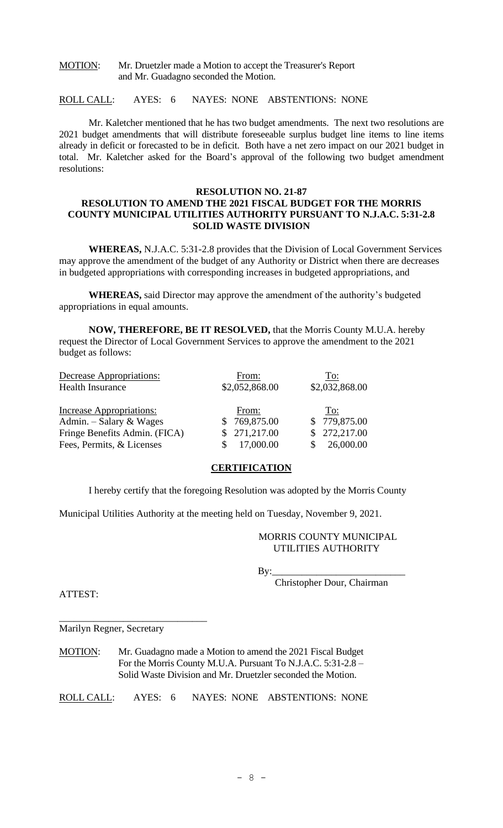MOTION: Mr. Druetzler made a Motion to accept the Treasurer's Report and Mr. Guadagno seconded the Motion.

ROLL CALL: AYES: 6 NAYES: NONE ABSTENTIONS: NONE

Mr. Kaletcher mentioned that he has two budget amendments. The next two resolutions are 2021 budget amendments that will distribute foreseeable surplus budget line items to line items already in deficit or forecasted to be in deficit. Both have a net zero impact on our 2021 budget in total. Mr. Kaletcher asked for the Board's approval of the following two budget amendment resolutions:

## **RESOLUTION NO. 21-87 RESOLUTION TO AMEND THE 2021 FISCAL BUDGET FOR THE MORRIS COUNTY MUNICIPAL UTILITIES AUTHORITY PURSUANT TO N.J.A.C. 5:31-2.8 SOLID WASTE DIVISION**

**WHEREAS,** N.J.A.C. 5:31-2.8 provides that the Division of Local Government Services may approve the amendment of the budget of any Authority or District when there are decreases in budgeted appropriations with corresponding increases in budgeted appropriations, and

**WHEREAS,** said Director may approve the amendment of the authority's budgeted appropriations in equal amounts.

**NOW, THEREFORE, BE IT RESOLVED,** that the Morris County M.U.A. hereby request the Director of Local Government Services to approve the amendment to the 2021 budget as follows:

| Decrease Appropriations:        | From:          | To:            |
|---------------------------------|----------------|----------------|
| <b>Health Insurance</b>         | \$2,052,868.00 | \$2,032,868.00 |
| <b>Increase Appropriations:</b> | From:          | To:            |
| Admin. $-$ Salary & Wages       | 769,875.00     | \$779,875.00   |
| Fringe Benefits Admin. (FICA)   | \$271,217.00   | \$272,217.00   |
| Fees, Permits, & Licenses       | 17,000.00      | 26,000.00      |

# **CERTIFICATION**

I hereby certify that the foregoing Resolution was adopted by the Morris County

Municipal Utilities Authority at the meeting held on Tuesday, November 9, 2021.

#### MORRIS COUNTY MUNICIPAL UTILITIES AUTHORITY

By:\_\_\_\_\_\_\_\_\_\_\_\_\_\_\_\_\_\_\_\_\_\_\_\_\_\_\_

Christopher Dour, Chairman

ATTEST:

Marilyn Regner, Secretary

\_\_\_\_\_\_\_\_\_\_\_\_\_\_\_\_\_\_\_\_\_\_\_\_\_\_\_\_\_\_

MOTION: Mr. Guadagno made a Motion to amend the 2021 Fiscal Budget For the Morris County M.U.A. Pursuant To N.J.A.C. 5:31-2.8 – Solid Waste Division and Mr. Druetzler seconded the Motion.

ROLL CALL: AYES: 6 NAYES: NONE ABSTENTIONS: NONE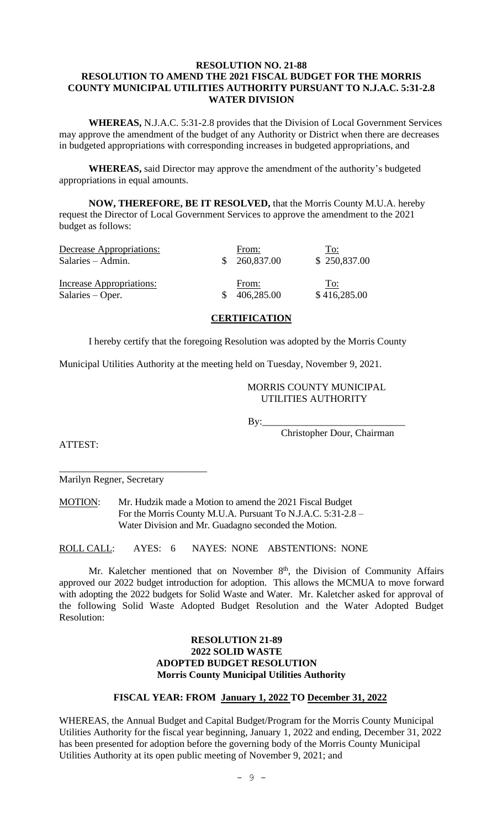### **RESOLUTION NO. 21-88 RESOLUTION TO AMEND THE 2021 FISCAL BUDGET FOR THE MORRIS COUNTY MUNICIPAL UTILITIES AUTHORITY PURSUANT TO N.J.A.C. 5:31-2.8 WATER DIVISION**

**WHEREAS,** N.J.A.C. 5:31-2.8 provides that the Division of Local Government Services may approve the amendment of the budget of any Authority or District when there are decreases in budgeted appropriations with corresponding increases in budgeted appropriations, and

**WHEREAS,** said Director may approve the amendment of the authority's budgeted appropriations in equal amounts.

**NOW, THEREFORE, BE IT RESOLVED,** that the Morris County M.U.A. hereby request the Director of Local Government Services to approve the amendment to the 2021 budget as follows:

| Decrease Appropriations:<br>$Salaries - Admin.$ | From:<br>260,837.00 | To:<br>\$250,837.00 |
|-------------------------------------------------|---------------------|---------------------|
| Increase Appropriations:<br>$Salaries - Oper.$  | From:<br>406,285.00 | To:<br>\$416,285.00 |

### **CERTIFICATION**

I hereby certify that the foregoing Resolution was adopted by the Morris County

Municipal Utilities Authority at the meeting held on Tuesday, November 9, 2021.

# MORRIS COUNTY MUNICIPAL UTILITIES AUTHORITY

 $By:$ 

Christopher Dour, Chairman

ATTEST:

\_\_\_\_\_\_\_\_\_\_\_\_\_\_\_\_\_\_\_\_\_\_\_\_\_\_\_\_\_\_ Marilyn Regner, Secretary

MOTION: Mr. Hudzik made a Motion to amend the 2021 Fiscal Budget For the Morris County M.U.A. Pursuant To N.J.A.C. 5:31-2.8 – Water Division and Mr. Guadagno seconded the Motion.

ROLL CALL: AYES: 6 NAYES: NONE ABSTENTIONS: NONE

Mr. Kaletcher mentioned that on November  $8<sup>th</sup>$ , the Division of Community Affairs approved our 2022 budget introduction for adoption. This allows the MCMUA to move forward with adopting the 2022 budgets for Solid Waste and Water. Mr. Kaletcher asked for approval of the following Solid Waste Adopted Budget Resolution and the Water Adopted Budget Resolution:

## **RESOLUTION 21-89 2022 SOLID WASTE ADOPTED BUDGET RESOLUTION Morris County Municipal Utilities Authority**

## **FISCAL YEAR: FROM January 1, 2022 TO December 31, 2022**

WHEREAS, the Annual Budget and Capital Budget/Program for the Morris County Municipal Utilities Authority for the fiscal year beginning, January 1, 2022 and ending, December 31, 2022 has been presented for adoption before the governing body of the Morris County Municipal Utilities Authority at its open public meeting of November 9, 2021; and

 $-9 -$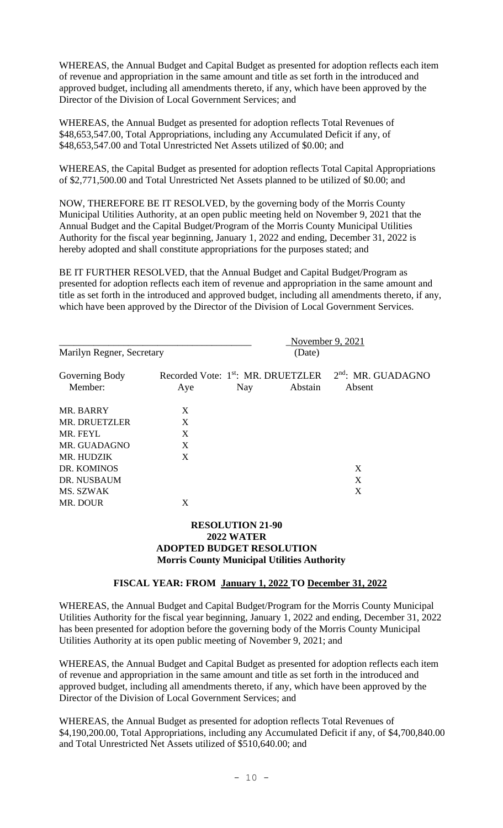WHEREAS, the Annual Budget and Capital Budget as presented for adoption reflects each item of revenue and appropriation in the same amount and title as set forth in the introduced and approved budget, including all amendments thereto, if any, which have been approved by the Director of the Division of Local Government Services; and

WHEREAS, the Annual Budget as presented for adoption reflects Total Revenues of \$48,653,547.00, Total Appropriations, including any Accumulated Deficit if any, of \$48,653,547.00 and Total Unrestricted Net Assets utilized of \$0.00; and

WHEREAS, the Capital Budget as presented for adoption reflects Total Capital Appropriations of \$2,771,500.00 and Total Unrestricted Net Assets planned to be utilized of \$0.00; and

NOW, THEREFORE BE IT RESOLVED, by the governing body of the Morris County Municipal Utilities Authority, at an open public meeting held on November 9, 2021 that the Annual Budget and the Capital Budget/Program of the Morris County Municipal Utilities Authority for the fiscal year beginning, January 1, 2022 and ending, December 31, 2022 is hereby adopted and shall constitute appropriations for the purposes stated; and

BE IT FURTHER RESOLVED, that the Annual Budget and Capital Budget/Program as presented for adoption reflects each item of revenue and appropriation in the same amount and title as set forth in the introduced and approved budget, including all amendments thereto, if any, which have been approved by the Director of the Division of Local Government Services.

|                           |                                                       |     | November 9, 2021 |                                |
|---------------------------|-------------------------------------------------------|-----|------------------|--------------------------------|
| Marilyn Regner, Secretary |                                                       |     | (Date)           |                                |
| Governing Body<br>Member: | Recorded Vote: 1 <sup>st</sup> : MR. DRUETZLER<br>Aye | Nay | Abstain          | $2nd$ : MR. GUADAGNO<br>Absent |
| MR. BARRY                 | X                                                     |     |                  |                                |
| MR. DRUETZLER             | X                                                     |     |                  |                                |
| MR. FEYL                  | X                                                     |     |                  |                                |
| MR. GUADAGNO              | X                                                     |     |                  |                                |
| MR. HUDZIK                | X                                                     |     |                  |                                |
| DR. KOMINOS               |                                                       |     |                  | X                              |
| DR. NUSBAUM               |                                                       |     |                  | X                              |
| MS. SZWAK                 |                                                       |     |                  | X                              |
| MR. DOUR                  | X                                                     |     |                  |                                |

## **RESOLUTION 21-90 2022 WATER ADOPTED BUDGET RESOLUTION Morris County Municipal Utilities Authority**

## **FISCAL YEAR: FROM January 1, 2022 TO December 31, 2022**

WHEREAS, the Annual Budget and Capital Budget/Program for the Morris County Municipal Utilities Authority for the fiscal year beginning, January 1, 2022 and ending, December 31, 2022 has been presented for adoption before the governing body of the Morris County Municipal Utilities Authority at its open public meeting of November 9, 2021; and

WHEREAS, the Annual Budget and Capital Budget as presented for adoption reflects each item of revenue and appropriation in the same amount and title as set forth in the introduced and approved budget, including all amendments thereto, if any, which have been approved by the Director of the Division of Local Government Services; and

WHEREAS, the Annual Budget as presented for adoption reflects Total Revenues of \$4,190,200.00, Total Appropriations, including any Accumulated Deficit if any, of \$4,700,840.00 and Total Unrestricted Net Assets utilized of \$510,640.00; and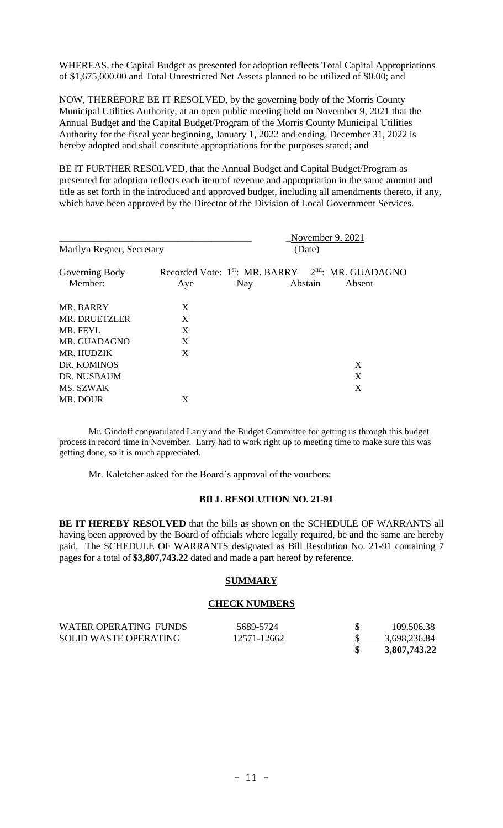WHEREAS, the Capital Budget as presented for adoption reflects Total Capital Appropriations of \$1,675,000.00 and Total Unrestricted Net Assets planned to be utilized of \$0.00; and

NOW, THEREFORE BE IT RESOLVED, by the governing body of the Morris County Municipal Utilities Authority, at an open public meeting held on November 9, 2021 that the Annual Budget and the Capital Budget/Program of the Morris County Municipal Utilities Authority for the fiscal year beginning, January 1, 2022 and ending, December 31, 2022 is hereby adopted and shall constitute appropriations for the purposes stated; and

BE IT FURTHER RESOLVED, that the Annual Budget and Capital Budget/Program as presented for adoption reflects each item of revenue and appropriation in the same amount and title as set forth in the introduced and approved budget, including all amendments thereto, if any, which have been approved by the Director of the Division of Local Government Services.

|                           |     |                                                                                  | November 9, $2021$ |        |
|---------------------------|-----|----------------------------------------------------------------------------------|--------------------|--------|
| Marilyn Regner, Secretary |     | (Date)                                                                           |                    |        |
| Governing Body<br>Member: | Aye | Recorded Vote: 1 <sup>st</sup> : MR. BARRY 2 <sup>nd</sup> : MR. GUADAGNO<br>Nay | Abstain            | Absent |
| MR. BARRY                 | X   |                                                                                  |                    |        |
| <b>MR. DRUETZLER</b>      | X   |                                                                                  |                    |        |
| MR. FEYL                  | X   |                                                                                  |                    |        |
| MR. GUADAGNO              | X   |                                                                                  |                    |        |
| MR. HUDZIK                | X   |                                                                                  |                    |        |
| DR. KOMINOS               |     |                                                                                  |                    | X      |
| DR. NUSBAUM               |     |                                                                                  |                    | X      |
| MS. SZWAK                 |     |                                                                                  |                    | X      |
| MR. DOUR                  | X   |                                                                                  |                    |        |

Mr. Gindoff congratulated Larry and the Budget Committee for getting us through this budget process in record time in November. Larry had to work right up to meeting time to make sure this was getting done, so it is much appreciated.

Mr. Kaletcher asked for the Board's approval of the vouchers:

#### **BILL RESOLUTION NO. 21-91**

**BE IT HEREBY RESOLVED** that the bills as shown on the SCHEDULE OF WARRANTS all having been approved by the Board of officials where legally required, be and the same are hereby paid. The SCHEDULE OF WARRANTS designated as Bill Resolution No. 21-91 containing 7 pages for a total of **\$3,807,743.22** dated and made a part hereof by reference.

### **SUMMARY**

#### **CHECK NUMBERS**

| WATER OPERATING FUNDS | 5689-5724   | 109,506.38   |
|-----------------------|-------------|--------------|
| SOLID WASTE OPERATING | 12571-12662 | 3,698,236.84 |
|                       |             | 3,807,743.22 |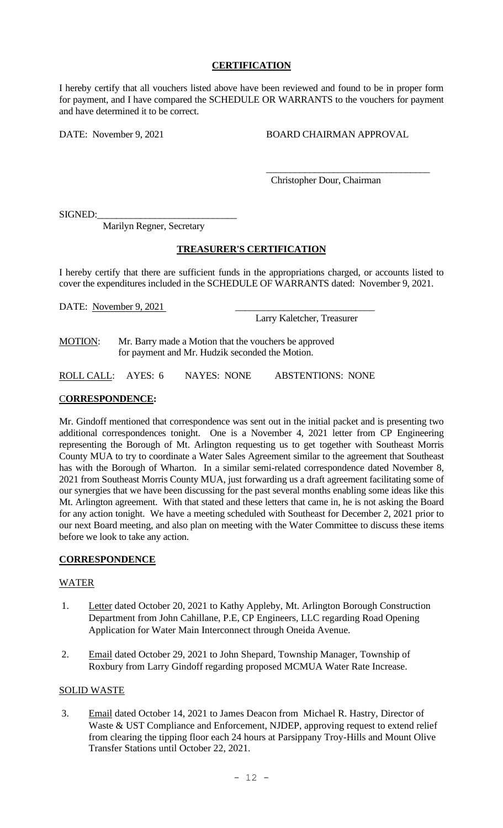# **CERTIFICATION**

I hereby certify that all vouchers listed above have been reviewed and found to be in proper form for payment, and I have compared the SCHEDULE OR WARRANTS to the vouchers for payment and have determined it to be correct.

DATE: November 9, 2021 BOARD CHAIRMAN APPROVAL

\_\_\_\_\_\_\_\_\_\_\_\_\_\_\_\_\_\_\_\_\_\_\_\_\_\_\_\_\_\_\_\_\_\_

Christopher Dour, Chairman

SIGNED:

Marilyn Regner, Secretary

### **TREASURER'S CERTIFICATION**

I hereby certify that there are sufficient funds in the appropriations charged, or accounts listed to cover the expenditures included in the SCHEDULE OF WARRANTS dated: November 9, 2021.

DATE: November 9, 2021

Larry Kaletcher, Treasurer

MOTION: Mr. Barry made a Motion that the vouchers be approved for payment and Mr. Hudzik seconded the Motion.

ROLL CALL: AYES: 6 NAYES: NONE ABSTENTIONS: NONE

# C**ORRESPONDENCE:**

Mr. Gindoff mentioned that correspondence was sent out in the initial packet and is presenting two additional correspondences tonight. One is a November 4, 2021 letter from CP Engineering representing the Borough of Mt. Arlington requesting us to get together with Southeast Morris County MUA to try to coordinate a Water Sales Agreement similar to the agreement that Southeast has with the Borough of Wharton. In a similar semi-related correspondence dated November 8, 2021 from Southeast Morris County MUA, just forwarding us a draft agreement facilitating some of our synergies that we have been discussing for the past several months enabling some ideas like this Mt. Arlington agreement. With that stated and these letters that came in, he is not asking the Board for any action tonight. We have a meeting scheduled with Southeast for December 2, 2021 prior to our next Board meeting, and also plan on meeting with the Water Committee to discuss these items before we look to take any action.

### **CORRESPONDENCE**

### WATER

- 1. Letter dated October 20, 2021 to Kathy Appleby, Mt. Arlington Borough Construction Department from John Cahillane, P.E, CP Engineers, LLC regarding Road Opening Application for Water Main Interconnect through Oneida Avenue.
- 2. Email dated October 29, 2021 to John Shepard, Township Manager, Township of Roxbury from Larry Gindoff regarding proposed MCMUA Water Rate Increase.

## SOLID WASTE

3. Email dated October 14, 2021 to James Deacon from Michael R. Hastry, Director of Waste & UST Compliance and Enforcement, NJDEP, approving request to extend relief from clearing the tipping floor each 24 hours at Parsippany Troy-Hills and Mount Olive Transfer Stations until October 22, 2021.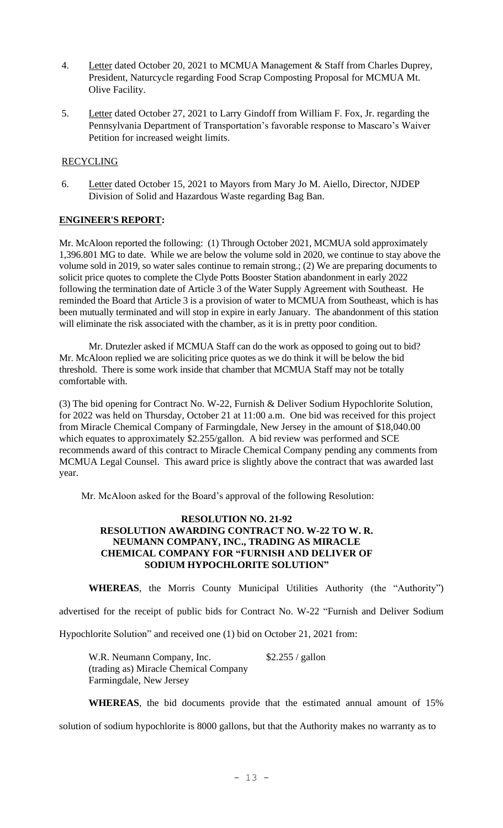- 4. Letter dated October 20, 2021 to MCMUA Management & Staff from Charles Duprey, President, Naturcycle regarding Food Scrap Composting Proposal for MCMUA Mt. Olive Facility.
- 5. Letter dated October 27, 2021 to Larry Gindoff from William F. Fox, Jr. regarding the Pennsylvania Department of Transportation's favorable response to Mascaro's Waiver Petition for increased weight limits.

# RECYCLING

6. Letter dated October 15, 2021 to Mayors from Mary Jo M. Aiello, Director, NJDEP Division of Solid and Hazardous Waste regarding Bag Ban.

# **ENGINEER'S REPORT:**

Mr. McAloon reported the following: (1) Through October 2021, MCMUA sold approximately 1,396.801 MG to date. While we are below the volume sold in 2020, we continue to stay above the volume sold in 2019, so water sales continue to remain strong.; (2) We are preparing documents to solicit price quotes to complete the Clyde Potts Booster Station abandonment in early 2022 following the termination date of Article 3 of the Water Supply Agreement with Southeast. He reminded the Board that Article 3 is a provision of water to MCMUA from Southeast, which is has been mutually terminated and will stop in expire in early January. The abandonment of this station will eliminate the risk associated with the chamber, as it is in pretty poor condition.

Mr. Drutezler asked if MCMUA Staff can do the work as opposed to going out to bid? Mr. McAloon replied we are soliciting price quotes as we do think it will be below the bid threshold. There is some work inside that chamber that MCMUA Staff may not be totally comfortable with.

(3) The bid opening for Contract No. W-22, Furnish & Deliver Sodium Hypochlorite Solution, for 2022 was held on Thursday, October 21 at 11:00 a.m. One bid was received for this project from Miracle Chemical Company of Farmingdale, New Jersey in the amount of \$18,040.00 which equates to approximately \$2.255/gallon. A bid review was performed and SCE recommends award of this contract to Miracle Chemical Company pending any comments from MCMUA Legal Counsel. This award price is slightly above the contract that was awarded last year.

Mr. McAloon asked for the Board's approval of the following Resolution:

# **RESOLUTION NO. 21-92 RESOLUTION AWARDING CONTRACT NO. W-22 TO W. R. NEUMANN COMPANY, INC., TRADING AS MIRACLE CHEMICAL COMPANY FOR "FURNISH AND DELIVER OF SODIUM HYPOCHLORITE SOLUTION"**

**WHEREAS**, the Morris County Municipal Utilities Authority (the "Authority") advertised for the receipt of public bids for Contract No. W-22 "Furnish and Deliver Sodium Hypochlorite Solution" and received one (1) bid on October 21, 2021 from:

W.R. Neumann Company, Inc. \$2.255 / gallon (trading as) Miracle Chemical Company Farmingdale, New Jersey

**WHEREAS**, the bid documents provide that the estimated annual amount of 15%

solution of sodium hypochlorite is 8000 gallons, but that the Authority makes no warranty as to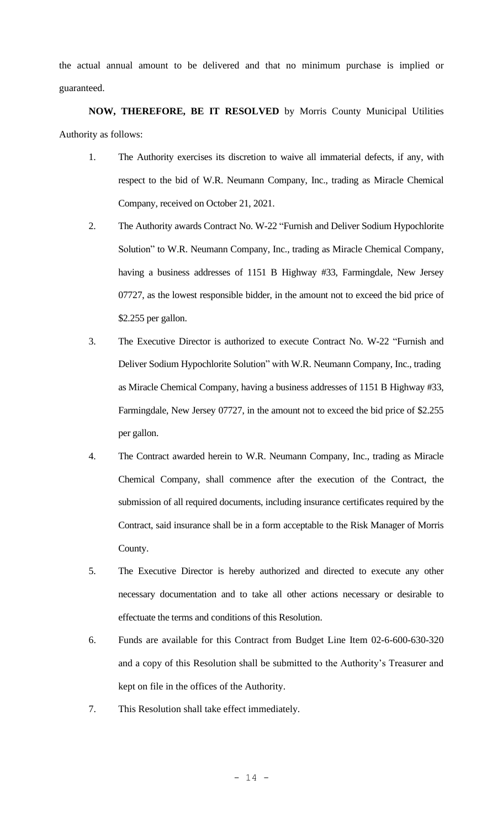the actual annual amount to be delivered and that no minimum purchase is implied or guaranteed.

**NOW, THEREFORE, BE IT RESOLVED** by Morris County Municipal Utilities Authority as follows:

- 1. The Authority exercises its discretion to waive all immaterial defects, if any, with respect to the bid of W.R. Neumann Company, Inc., trading as Miracle Chemical Company, received on October 21, 2021.
- 2. The Authority awards Contract No. W-22 "Furnish and Deliver Sodium Hypochlorite Solution" to W.R. Neumann Company, Inc., trading as Miracle Chemical Company, having a business addresses of 1151 B Highway #33, Farmingdale, New Jersey 07727, as the lowest responsible bidder, in the amount not to exceed the bid price of \$2.255 per gallon.
- 3. The Executive Director is authorized to execute Contract No. W-22 "Furnish and Deliver Sodium Hypochlorite Solution" with W.R. Neumann Company, Inc., trading as Miracle Chemical Company, having a business addresses of 1151 B Highway #33, Farmingdale, New Jersey 07727, in the amount not to exceed the bid price of \$2.255 per gallon.
- 4. The Contract awarded herein to W.R. Neumann Company, Inc., trading as Miracle Chemical Company, shall commence after the execution of the Contract, the submission of all required documents, including insurance certificates required by the Contract, said insurance shall be in a form acceptable to the Risk Manager of Morris County.
- 5. The Executive Director is hereby authorized and directed to execute any other necessary documentation and to take all other actions necessary or desirable to effectuate the terms and conditions of this Resolution.
- 6. Funds are available for this Contract from Budget Line Item 02-6-600-630-320 and a copy of this Resolution shall be submitted to the Authority's Treasurer and kept on file in the offices of the Authority.
- 7. This Resolution shall take effect immediately.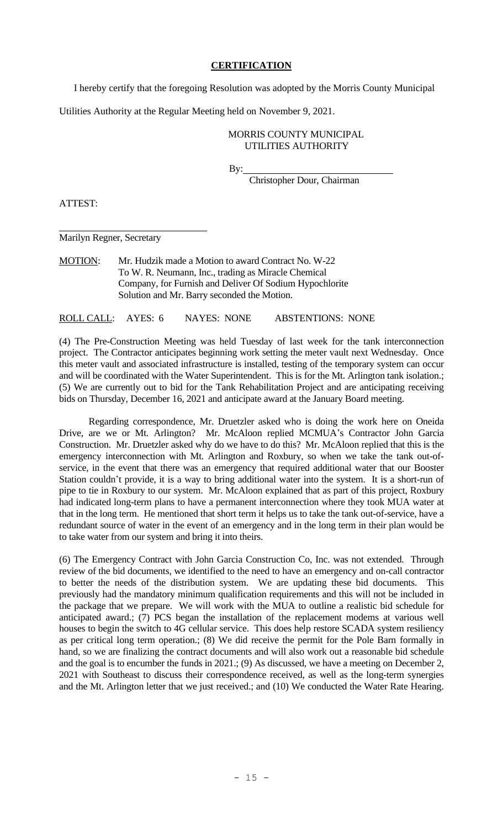# **CERTIFICATION**

I hereby certify that the foregoing Resolution was adopted by the Morris County Municipal

Utilities Authority at the Regular Meeting held on November 9, 2021.

# MORRIS COUNTY MUNICIPAL UTILITIES AUTHORITY

By:

Christopher Dour, Chairman

ATTEST:

Marilyn Regner, Secretary

MOTION: Mr. Hudzik made a Motion to award Contract No. W-22 To W. R. Neumann, Inc., trading as Miracle Chemical Company, for Furnish and Deliver Of Sodium Hypochlorite Solution and Mr. Barry seconded the Motion.

ROLL CALL: AYES: 6 NAYES: NONE ABSTENTIONS: NONE

(4) The Pre-Construction Meeting was held Tuesday of last week for the tank interconnection project. The Contractor anticipates beginning work setting the meter vault next Wednesday. Once this meter vault and associated infrastructure is installed, testing of the temporary system can occur and will be coordinated with the Water Superintendent. This is for the Mt. Arlington tank isolation.; (5) We are currently out to bid for the Tank Rehabilitation Project and are anticipating receiving bids on Thursday, December 16, 2021 and anticipate award at the January Board meeting.

Regarding correspondence, Mr. Druetzler asked who is doing the work here on Oneida Drive, are we or Mt. Arlington? Mr. McAloon replied MCMUA's Contractor John Garcia Construction. Mr. Druetzler asked why do we have to do this? Mr. McAloon replied that this is the emergency interconnection with Mt. Arlington and Roxbury, so when we take the tank out-ofservice, in the event that there was an emergency that required additional water that our Booster Station couldn't provide, it is a way to bring additional water into the system. It is a short-run of pipe to tie in Roxbury to our system. Mr. McAloon explained that as part of this project, Roxbury had indicated long-term plans to have a permanent interconnection where they took MUA water at that in the long term. He mentioned that short term it helps us to take the tank out-of-service, have a redundant source of water in the event of an emergency and in the long term in their plan would be to take water from our system and bring it into theirs.

(6) The Emergency Contract with John Garcia Construction Co, Inc. was not extended. Through review of the bid documents, we identified to the need to have an emergency and on-call contractor to better the needs of the distribution system. We are updating these bid documents. This previously had the mandatory minimum qualification requirements and this will not be included in the package that we prepare. We will work with the MUA to outline a realistic bid schedule for anticipated award.; (7) PCS began the installation of the replacement modems at various well houses to begin the switch to 4G cellular service. This does help restore SCADA system resiliency as per critical long term operation.; (8) We did receive the permit for the Pole Barn formally in hand, so we are finalizing the contract documents and will also work out a reasonable bid schedule and the goal is to encumber the funds in 2021.; (9) As discussed, we have a meeting on December 2, 2021 with Southeast to discuss their correspondence received, as well as the long-term synergies and the Mt. Arlington letter that we just received.; and (10) We conducted the Water Rate Hearing.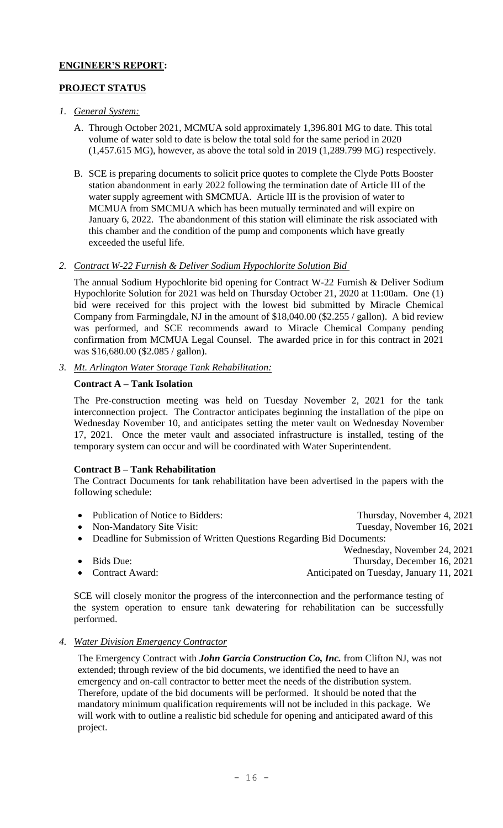# **ENGINEER'S REPORT:**

# **PROJECT STATUS**

- *1. General System:*
	- A. Through October 2021, MCMUA sold approximately 1,396.801 MG to date. This total volume of water sold to date is below the total sold for the same period in 2020 (1,457.615 MG), however, as above the total sold in 2019 (1,289.799 MG) respectively.
	- B. SCE is preparing documents to solicit price quotes to complete the Clyde Potts Booster station abandonment in early 2022 following the termination date of Article III of the water supply agreement with SMCMUA. Article III is the provision of water to MCMUA from SMCMUA which has been mutually terminated and will expire on January 6, 2022. The abandonment of this station will eliminate the risk associated with this chamber and the condition of the pump and components which have greatly exceeded the useful life.

# *2. Contract W-22 Furnish & Deliver Sodium Hypochlorite Solution Bid*

The annual Sodium Hypochlorite bid opening for Contract W-22 Furnish & Deliver Sodium Hypochlorite Solution for 2021 was held on Thursday October 21, 2020 at 11:00am. One (1) bid were received for this project with the lowest bid submitted by Miracle Chemical Company from Farmingdale, NJ in the amount of \$18,040.00 (\$2.255 / gallon). A bid review was performed, and SCE recommends award to Miracle Chemical Company pending confirmation from MCMUA Legal Counsel. The awarded price in for this contract in 2021 was \$16,680.00 (\$2.085 / gallon).

*3. Mt. Arlington Water Storage Tank Rehabilitation:*

# **Contract A – Tank Isolation**

The Pre-construction meeting was held on Tuesday November 2, 2021 for the tank interconnection project. The Contractor anticipates beginning the installation of the pipe on Wednesday November 10, and anticipates setting the meter vault on Wednesday November 17, 2021. Once the meter vault and associated infrastructure is installed, testing of the temporary system can occur and will be coordinated with Water Superintendent.

# **Contract B – Tank Rehabilitation**

The Contract Documents for tank rehabilitation have been advertised in the papers with the following schedule:

- Publication of Notice to Bidders: Thursday, November 4, 2021
- Non-Mandatory Site Visit: Tuesday, November 16, 2021
- Deadline for Submission of Written Questions Regarding Bid Documents:
	- Wednesday, November 24, 2021
- Bids Due: Thursday, December 16, 2021
- Contract Award: **Anticipated on Tuesday, January 11, 2021**
- SCE will closely monitor the progress of the interconnection and the performance testing of the system operation to ensure tank dewatering for rehabilitation can be successfully performed.
- *4. Water Division Emergency Contractor*

The Emergency Contract with *John Garcia Construction Co, Inc.* from Clifton NJ, was not extended; through review of the bid documents, we identified the need to have an emergency and on-call contractor to better meet the needs of the distribution system. Therefore, update of the bid documents will be performed. It should be noted that the mandatory minimum qualification requirements will not be included in this package. We will work with to outline a realistic bid schedule for opening and anticipated award of this project.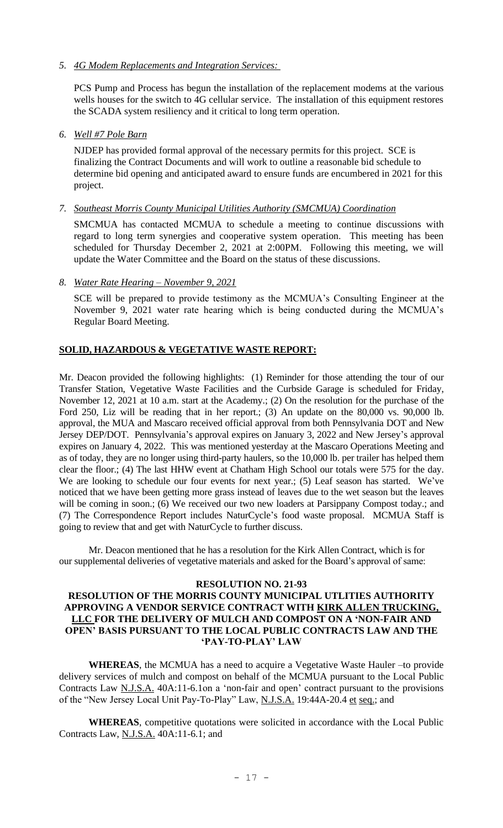*5. 4G Modem Replacements and Integration Services:* 

PCS Pump and Process has begun the installation of the replacement modems at the various wells houses for the switch to 4G cellular service. The installation of this equipment restores the SCADA system resiliency and it critical to long term operation.

*6. Well #7 Pole Barn*

NJDEP has provided formal approval of the necessary permits for this project. SCE is finalizing the Contract Documents and will work to outline a reasonable bid schedule to determine bid opening and anticipated award to ensure funds are encumbered in 2021 for this project.

*7. Southeast Morris County Municipal Utilities Authority (SMCMUA) Coordination*

SMCMUA has contacted MCMUA to schedule a meeting to continue discussions with regard to long term synergies and cooperative system operation. This meeting has been scheduled for Thursday December 2, 2021 at 2:00PM. Following this meeting, we will update the Water Committee and the Board on the status of these discussions.

*8. Water Rate Hearing – November 9, 2021*

SCE will be prepared to provide testimony as the MCMUA's Consulting Engineer at the November 9, 2021 water rate hearing which is being conducted during the MCMUA's Regular Board Meeting.

### **SOLID, HAZARDOUS & VEGETATIVE WASTE REPORT:**

Mr. Deacon provided the following highlights: (1) Reminder for those attending the tour of our Transfer Station, Vegetative Waste Facilities and the Curbside Garage is scheduled for Friday, November 12, 2021 at 10 a.m. start at the Academy.; (2) On the resolution for the purchase of the Ford 250, Liz will be reading that in her report.; (3) An update on the 80,000 vs. 90,000 lb. approval, the MUA and Mascaro received official approval from both Pennsylvania DOT and New Jersey DEP/DOT. Pennsylvania's approval expires on January 3, 2022 and New Jersey's approval expires on January 4, 2022. This was mentioned yesterday at the Mascaro Operations Meeting and as of today, they are no longer using third-party haulers, so the 10,000 lb. per trailer has helped them clear the floor.; (4) The last HHW event at Chatham High School our totals were 575 for the day. We are looking to schedule our four events for next year.; (5) Leaf season has started. We've noticed that we have been getting more grass instead of leaves due to the wet season but the leaves will be coming in soon.; (6) We received our two new loaders at Parsippany Compost today.; and (7) The Correspondence Report includes NaturCycle's food waste proposal. MCMUA Staff is going to review that and get with NaturCycle to further discuss.

Mr. Deacon mentioned that he has a resolution for the Kirk Allen Contract, which is for our supplemental deliveries of vegetative materials and asked for the Board's approval of same:

#### **RESOLUTION NO. 21-93**

### **RESOLUTION OF THE MORRIS COUNTY MUNICIPAL UTLITIES AUTHORITY APPROVING A VENDOR SERVICE CONTRACT WITH KIRK ALLEN TRUCKING, LLC FOR THE DELIVERY OF MULCH AND COMPOST ON A 'NON-FAIR AND OPEN' BASIS PURSUANT TO THE LOCAL PUBLIC CONTRACTS LAW AND THE 'PAY-TO-PLAY' LAW**

**WHEREAS**, the MCMUA has a need to acquire a Vegetative Waste Hauler –to provide delivery services of mulch and compost on behalf of the MCMUA pursuant to the Local Public Contracts Law N.J.S.A. 40A:11-6.1on a 'non-fair and open' contract pursuant to the provisions of the "New Jersey Local Unit Pay-To-Play" Law, N.J.S.A. 19:44A-20.4 et seq.; and

**WHEREAS**, competitive quotations were solicited in accordance with the Local Public Contracts Law, N.J.S.A. 40A:11-6.1; and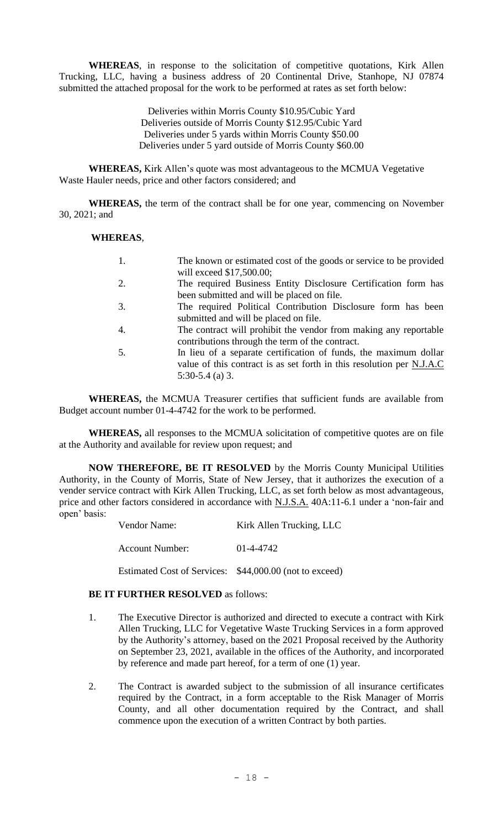**WHEREAS**, in response to the solicitation of competitive quotations, Kirk Allen Trucking, LLC, having a business address of 20 Continental Drive, Stanhope, NJ 07874 submitted the attached proposal for the work to be performed at rates as set forth below:

> Deliveries within Morris County \$10.95/Cubic Yard Deliveries outside of Morris County \$12.95/Cubic Yard Deliveries under 5 yards within Morris County \$50.00 Deliveries under 5 yard outside of Morris County \$60.00

**WHEREAS,** Kirk Allen's quote was most advantageous to the MCMUA Vegetative Waste Hauler needs, price and other factors considered; and

**WHEREAS,** the term of the contract shall be for one year, commencing on November 30, 2021; and

### **WHEREAS**,

|     | The known or estimated cost of the goods or service to be provided    |
|-----|-----------------------------------------------------------------------|
|     | will exceed \$17,500.00;                                              |
| 2.  | The required Business Entity Disclosure Certification form has        |
|     | been submitted and will be placed on file.                            |
| 3.  | The required Political Contribution Disclosure form has been          |
|     | submitted and will be placed on file.                                 |
|     | The contract will prohibit the vendor from making any reportable      |
|     | contributions through the term of the contract.                       |
| .5. | In lieu of a separate certification of funds, the maximum dollar      |
|     | value of this contract is as set forth in this resolution per N.J.A.C |
|     | $5:30-5.4$ (a) 3.                                                     |

**WHEREAS,** the MCMUA Treasurer certifies that sufficient funds are available from Budget account number 01-4-4742 for the work to be performed.

**WHEREAS,** all responses to the MCMUA solicitation of competitive quotes are on file at the Authority and available for review upon request; and

**NOW THEREFORE, BE IT RESOLVED** by the Morris County Municipal Utilities Authority, in the County of Morris, State of New Jersey, that it authorizes the execution of a vender service contract with Kirk Allen Trucking, LLC, as set forth below as most advantageous, price and other factors considered in accordance with N.J.S.A. 40A:11-6.1 under a 'non-fair and open' basis:

Account Number: 01-4-4742

Estimated Cost of Services: \$44,000.00 (not to exceed)

### **BE IT FURTHER RESOLVED** as follows:

- 1. The Executive Director is authorized and directed to execute a contract with Kirk Allen Trucking, LLC for Vegetative Waste Trucking Services in a form approved by the Authority's attorney, based on the 2021 Proposal received by the Authority on September 23, 2021, available in the offices of the Authority, and incorporated by reference and made part hereof, for a term of one (1) year.
- 2. The Contract is awarded subject to the submission of all insurance certificates required by the Contract, in a form acceptable to the Risk Manager of Morris County, and all other documentation required by the Contract, and shall commence upon the execution of a written Contract by both parties.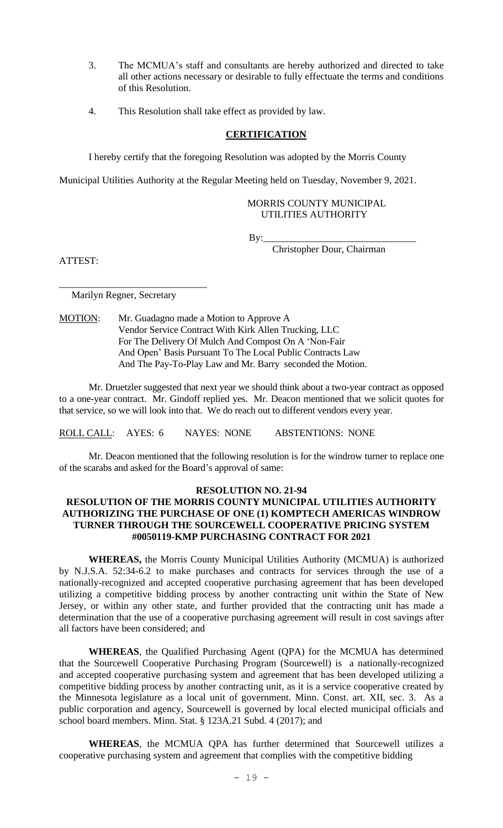- 3. The MCMUA's staff and consultants are hereby authorized and directed to take all other actions necessary or desirable to fully effectuate the terms and conditions of this Resolution.
- 4. This Resolution shall take effect as provided by law.

# **CERTIFICATION**

I hereby certify that the foregoing Resolution was adopted by the Morris County

Municipal Utilities Authority at the Regular Meeting held on Tuesday, November 9, 2021.

## MORRIS COUNTY MUNICIPAL UTILITIES AUTHORITY

By:\_\_\_\_\_\_\_\_\_\_\_\_\_\_\_\_\_\_\_\_\_\_\_\_\_\_\_\_\_\_\_

Christopher Dour, Chairman

ATTEST:

Marilyn Regner, Secretary

\_\_\_\_\_\_\_\_\_\_\_\_\_\_\_\_\_\_\_\_\_\_\_\_\_\_\_\_\_\_

MOTION: Mr. Guadagno made a Motion to Approve A Vendor Service Contract With Kirk Allen Trucking, LLC For The Delivery Of Mulch And Compost On A 'Non-Fair And Open' Basis Pursuant To The Local Public Contracts Law And The Pay-To-Play Law and Mr. Barry seconded the Motion.

Mr. Druetzler suggested that next year we should think about a two-year contract as opposed to a one-year contract. Mr. Gindoff replied yes. Mr. Deacon mentioned that we solicit quotes for that service, so we will look into that. We do reach out to different vendors every year.

ROLL CALL: AYES: 6 NAYES: NONE ABSTENTIONS: NONE

Mr. Deacon mentioned that the following resolution is for the windrow turner to replace one of the scarabs and asked for the Board's approval of same:

# **RESOLUTION NO. 21-94**

# **RESOLUTION OF THE MORRIS COUNTY MUNICIPAL UTILITIES AUTHORITY AUTHORIZING THE PURCHASE OF ONE (1) KOMPTECH AMERICAS WINDROW TURNER THROUGH THE SOURCEWELL COOPERATIVE PRICING SYSTEM #0050119-KMP PURCHASING CONTRACT FOR 2021**

**WHEREAS,** the Morris County Municipal Utilities Authority (MCMUA) is authorized by N.J.S.A. 52:34-6.2 to make purchases and contracts for services through the use of a nationally-recognized and accepted cooperative purchasing agreement that has been developed utilizing a competitive bidding process by another contracting unit within the State of New Jersey, or within any other state, and further provided that the contracting unit has made a determination that the use of a cooperative purchasing agreement will result in cost savings after all factors have been considered; and

**WHEREAS**, the Qualified Purchasing Agent (QPA) for the MCMUA has determined that the Sourcewell Cooperative Purchasing Program (Sourcewell) is a nationally-recognized and accepted cooperative purchasing system and agreement that has been developed utilizing a competitive bidding process by another contracting unit, as it is a service cooperative created by the Minnesota legislature as a local unit of government. Minn. Const. art. XII, sec. 3. As a public corporation and agency, Sourcewell is governed by local elected municipal officials and school board members. Minn. Stat. § 123A.21 Subd. 4 (2017); and

**WHEREAS**, the MCMUA QPA has further determined that Sourcewell utilizes a cooperative purchasing system and agreement that complies with the competitive bidding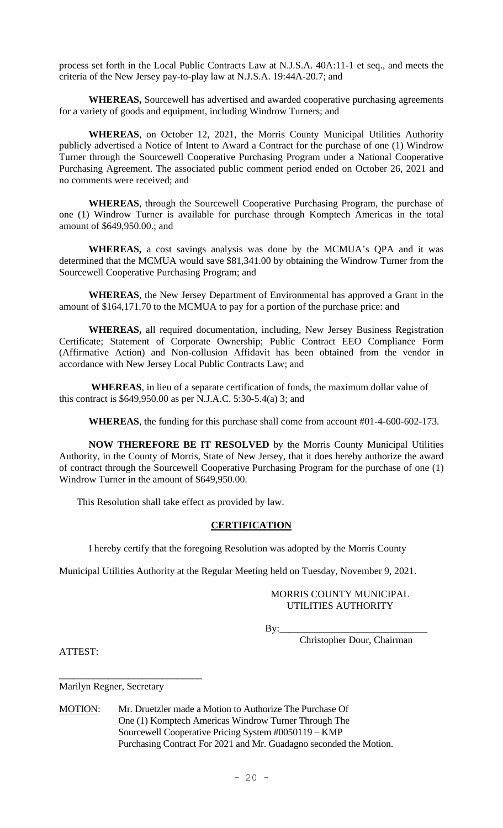process set forth in the Local Public Contracts Law at N.J.S.A. 40A:11-1 et seq., and meets the criteria of the New Jersey pay-to-play law at N.J.S.A. 19:44A-20.7; and

**WHEREAS,** Sourcewell has advertised and awarded cooperative purchasing agreements for a variety of goods and equipment, including Windrow Turners; and

**WHEREAS**, on October 12, 2021, the Morris County Municipal Utilities Authority publicly advertised a Notice of Intent to Award a Contract for the purchase of one (1) Windrow Turner through the Sourcewell Cooperative Purchasing Program under a National Cooperative Purchasing Agreement. The associated public comment period ended on October 26, 2021 and no comments were received; and

**WHEREAS**, through the Sourcewell Cooperative Purchasing Program, the purchase of one (1) Windrow Turner is available for purchase through Komptech Americas in the total amount of \$649,950.00.; and

**WHEREAS,** a cost savings analysis was done by the MCMUA's QPA and it was determined that the MCMUA would save \$81,341.00 by obtaining the Windrow Turner from the Sourcewell Cooperative Purchasing Program; and

**WHEREAS**, the New Jersey Department of Environmental has approved a Grant in the amount of \$164,171.70 to the MCMUA to pay for a portion of the purchase price: and

**WHEREAS,** all required documentation, including, New Jersey Business Registration Certificate; Statement of Corporate Ownership; Public Contract EEO Compliance Form (Affirmative Action) and Non-collusion Affidavit has been obtained from the vendor in accordance with New Jersey Local Public Contracts Law; and

**WHEREAS**, in lieu of a separate certification of funds, the maximum dollar value of this contract is \$649,950.00 as per N.J.A.C. 5:30-5.4(a) 3; and

**WHEREAS**, the funding for this purchase shall come from account #01-4-600-602-173.

**NOW THEREFORE BE IT RESOLVED** by the Morris County Municipal Utilities Authority, in the County of Morris, State of New Jersey, that it does hereby authorize the award of contract through the Sourcewell Cooperative Purchasing Program for the purchase of one (1) Windrow Turner in the amount of \$649,950.00.

This Resolution shall take effect as provided by law.

### **CERTIFICATION**

I hereby certify that the foregoing Resolution was adopted by the Morris County

Municipal Utilities Authority at the Regular Meeting held on Tuesday, November 9, 2021.

## MORRIS COUNTY MUNICIPAL UTILITIES AUTHORITY

By:\_\_\_\_\_\_\_\_\_\_\_\_\_\_\_\_\_\_\_\_\_\_\_\_\_\_\_\_\_\_

Christopher Dour, Chairman

ATTEST:

Marilyn Regner, Secretary

\_\_\_\_\_\_\_\_\_\_\_\_\_\_\_\_\_\_\_\_\_\_\_\_\_\_\_\_\_

MOTION: Mr. Druetzler made a Motion to Authorize The Purchase Of One (1) Komptech Americas Windrow Turner Through The Sourcewell Cooperative Pricing System #0050119 – KMP Purchasing Contract For 2021 and Mr. Guadagno seconded the Motion.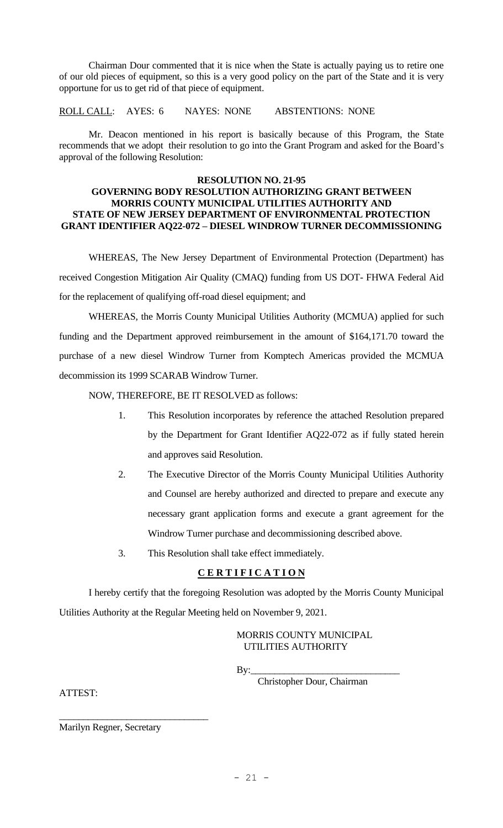Chairman Dour commented that it is nice when the State is actually paying us to retire one of our old pieces of equipment, so this is a very good policy on the part of the State and it is very opportune for us to get rid of that piece of equipment.

ROLL CALL: AYES: 6 NAYES: NONE ABSTENTIONS: NONE

Mr. Deacon mentioned in his report is basically because of this Program, the State recommends that we adopt their resolution to go into the Grant Program and asked for the Board's approval of the following Resolution:

#### **RESOLUTION NO. 21-95**

### **GOVERNING BODY RESOLUTION AUTHORIZING GRANT BETWEEN MORRIS COUNTY MUNICIPAL UTILITIES AUTHORITY AND STATE OF NEW JERSEY DEPARTMENT OF ENVIRONMENTAL PROTECTION GRANT IDENTIFIER AQ22-072 – DIESEL WINDROW TURNER DECOMMISSIONING**

WHEREAS, The New Jersey Department of Environmental Protection (Department) has received Congestion Mitigation Air Quality (CMAQ) funding from US DOT- FHWA Federal Aid for the replacement of qualifying off-road diesel equipment; and

WHEREAS, the Morris County Municipal Utilities Authority (MCMUA) applied for such funding and the Department approved reimbursement in the amount of \$164,171.70 toward the purchase of a new diesel Windrow Turner from Komptech Americas provided the MCMUA decommission its 1999 SCARAB Windrow Turner.

NOW, THEREFORE, BE IT RESOLVED as follows:

- 1. This Resolution incorporates by reference the attached Resolution prepared by the Department for Grant Identifier AQ22-072 as if fully stated herein and approves said Resolution.
- 2. The Executive Director of the Morris County Municipal Utilities Authority and Counsel are hereby authorized and directed to prepare and execute any necessary grant application forms and execute a grant agreement for the Windrow Turner purchase and decommissioning described above.
- 3. This Resolution shall take effect immediately.

# **C E R T I F I C A T I O N**

I hereby certify that the foregoing Resolution was adopted by the Morris County Municipal Utilities Authority at the Regular Meeting held on November 9, 2021.

> MORRIS COUNTY MUNICIPAL UTILITIES AUTHORITY

By:

Christopher Dour, Chairman

ATTEST:

Marilyn Regner, Secretary

\_\_\_\_\_\_\_\_\_\_\_\_\_\_\_\_\_\_\_\_\_\_\_\_\_\_\_\_\_\_\_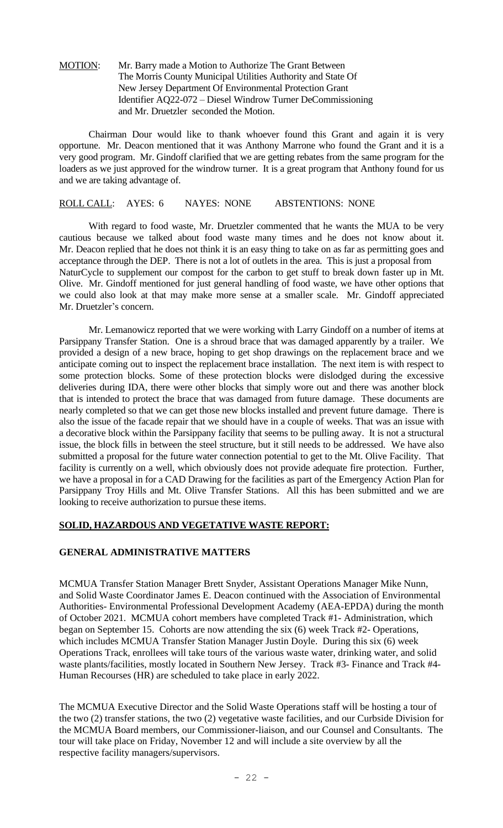### MOTION: Mr. Barry made a Motion to Authorize The Grant Between The Morris County Municipal Utilities Authority and State Of New Jersey Department Of Environmental Protection Grant Identifier AQ22-072 – Diesel Windrow Turner DeCommissioning and Mr. Druetzler seconded the Motion.

Chairman Dour would like to thank whoever found this Grant and again it is very opportune. Mr. Deacon mentioned that it was Anthony Marrone who found the Grant and it is a very good program. Mr. Gindoff clarified that we are getting rebates from the same program for the loaders as we just approved for the windrow turner. It is a great program that Anthony found for us and we are taking advantage of.

# ROLL CALL: AYES: 6 NAYES: NONE ABSTENTIONS: NONE

With regard to food waste, Mr. Druetzler commented that he wants the MUA to be very cautious because we talked about food waste many times and he does not know about it. Mr. Deacon replied that he does not think it is an easy thing to take on as far as permitting goes and acceptance through the DEP. There is not a lot of outlets in the area. This is just a proposal from NaturCycle to supplement our compost for the carbon to get stuff to break down faster up in Mt. Olive. Mr. Gindoff mentioned for just general handling of food waste, we have other options that we could also look at that may make more sense at a smaller scale. Mr. Gindoff appreciated Mr. Druetzler's concern.

Mr. Lemanowicz reported that we were working with Larry Gindoff on a number of items at Parsippany Transfer Station. One is a shroud brace that was damaged apparently by a trailer. We provided a design of a new brace, hoping to get shop drawings on the replacement brace and we anticipate coming out to inspect the replacement brace installation. The next item is with respect to some protection blocks. Some of these protection blocks were dislodged during the excessive deliveries during IDA, there were other blocks that simply wore out and there was another block that is intended to protect the brace that was damaged from future damage. These documents are nearly completed so that we can get those new blocks installed and prevent future damage. There is also the issue of the facade repair that we should have in a couple of weeks. That was an issue with a decorative block within the Parsippany facility that seems to be pulling away. It is not a structural issue, the block fills in between the steel structure, but it still needs to be addressed. We have also submitted a proposal for the future water connection potential to get to the Mt. Olive Facility. That facility is currently on a well, which obviously does not provide adequate fire protection. Further, we have a proposal in for a CAD Drawing for the facilities as part of the Emergency Action Plan for Parsippany Troy Hills and Mt. Olive Transfer Stations. All this has been submitted and we are looking to receive authorization to pursue these items.

# **SOLID, HAZARDOUS AND VEGETATIVE WASTE REPORT:**

# **GENERAL ADMINISTRATIVE MATTERS**

MCMUA Transfer Station Manager Brett Snyder, Assistant Operations Manager Mike Nunn, and Solid Waste Coordinator James E. Deacon continued with the Association of Environmental Authorities- Environmental Professional Development Academy (AEA-EPDA) during the month of October 2021. MCMUA cohort members have completed Track #1- Administration, which began on September 15. Cohorts are now attending the six (6) week Track #2- Operations, which includes MCMUA Transfer Station Manager Justin Doyle. During this six (6) week Operations Track, enrollees will take tours of the various waste water, drinking water, and solid waste plants/facilities, mostly located in Southern New Jersey. Track #3- Finance and Track #4- Human Recourses (HR) are scheduled to take place in early 2022.

The MCMUA Executive Director and the Solid Waste Operations staff will be hosting a tour of the two (2) transfer stations, the two (2) vegetative waste facilities, and our Curbside Division for the MCMUA Board members, our Commissioner-liaison, and our Counsel and Consultants. The tour will take place on Friday, November 12 and will include a site overview by all the respective facility managers/supervisors.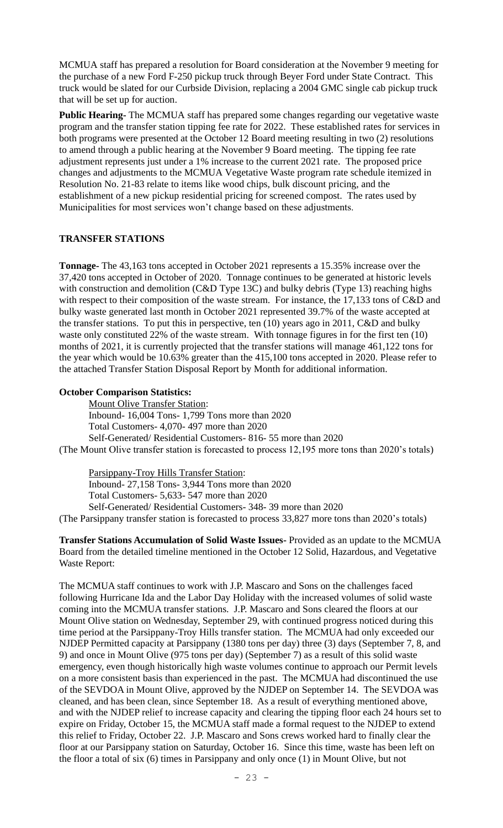MCMUA staff has prepared a resolution for Board consideration at the November 9 meeting for the purchase of a new Ford F-250 pickup truck through Beyer Ford under State Contract. This truck would be slated for our Curbside Division, replacing a 2004 GMC single cab pickup truck that will be set up for auction.

**Public Hearing-** The MCMUA staff has prepared some changes regarding our vegetative waste program and the transfer station tipping fee rate for 2022. These established rates for services in both programs were presented at the October 12 Board meeting resulting in two (2) resolutions to amend through a public hearing at the November 9 Board meeting. The tipping fee rate adjustment represents just under a 1% increase to the current 2021 rate. The proposed price changes and adjustments to the MCMUA Vegetative Waste program rate schedule itemized in Resolution No. 21-83 relate to items like wood chips, bulk discount pricing, and the establishment of a new pickup residential pricing for screened compost. The rates used by Municipalities for most services won't change based on these adjustments.

# **TRANSFER STATIONS**

**Tonnage-** The 43,163 tons accepted in October 2021 represents a 15.35% increase over the 37,420 tons accepted in October of 2020. Tonnage continues to be generated at historic levels with construction and demolition (C&D Type 13C) and bulky debris (Type 13) reaching highs with respect to their composition of the waste stream. For instance, the 17,133 tons of C&D and bulky waste generated last month in October 2021 represented 39.7% of the waste accepted at the transfer stations. To put this in perspective, ten (10) years ago in 2011, C&D and bulky waste only constituted 22% of the waste stream. With tonnage figures in for the first ten (10) months of 2021, it is currently projected that the transfer stations will manage 461,122 tons for the year which would be 10.63% greater than the 415,100 tons accepted in 2020. Please refer to the attached Transfer Station Disposal Report by Month for additional information.

# **October Comparison Statistics:**

Mount Olive Transfer Station: Inbound- 16,004 Tons- 1,799 Tons more than 2020 Total Customers- 4,070- 497 more than 2020 Self-Generated/ Residential Customers- 816- 55 more than 2020 (The Mount Olive transfer station is forecasted to process 12,195 more tons than 2020's totals)

Parsippany-Troy Hills Transfer Station: Inbound- 27,158 Tons- 3,944 Tons more than 2020 Total Customers- 5,633- 547 more than 2020 Self-Generated/ Residential Customers- 348- 39 more than 2020 (The Parsippany transfer station is forecasted to process 33,827 more tons than 2020's totals)

**Transfer Stations Accumulation of Solid Waste Issues-** Provided as an update to the MCMUA Board from the detailed timeline mentioned in the October 12 Solid, Hazardous, and Vegetative Waste Report:

The MCMUA staff continues to work with J.P. Mascaro and Sons on the challenges faced following Hurricane Ida and the Labor Day Holiday with the increased volumes of solid waste coming into the MCMUA transfer stations. J.P. Mascaro and Sons cleared the floors at our Mount Olive station on Wednesday, September 29, with continued progress noticed during this time period at the Parsippany-Troy Hills transfer station. The MCMUA had only exceeded our NJDEP Permitted capacity at Parsippany (1380 tons per day) three (3) days (September 7, 8, and 9) and once in Mount Olive (975 tons per day) (September 7) as a result of this solid waste emergency, even though historically high waste volumes continue to approach our Permit levels on a more consistent basis than experienced in the past. The MCMUA had discontinued the use of the SEVDOA in Mount Olive, approved by the NJDEP on September 14. The SEVDOA was cleaned, and has been clean, since September 18. As a result of everything mentioned above, and with the NJDEP relief to increase capacity and clearing the tipping floor each 24 hours set to expire on Friday, October 15, the MCMUA staff made a formal request to the NJDEP to extend this relief to Friday, October 22. J.P. Mascaro and Sons crews worked hard to finally clear the floor at our Parsippany station on Saturday, October 16. Since this time, waste has been left on the floor a total of six (6) times in Parsippany and only once (1) in Mount Olive, but not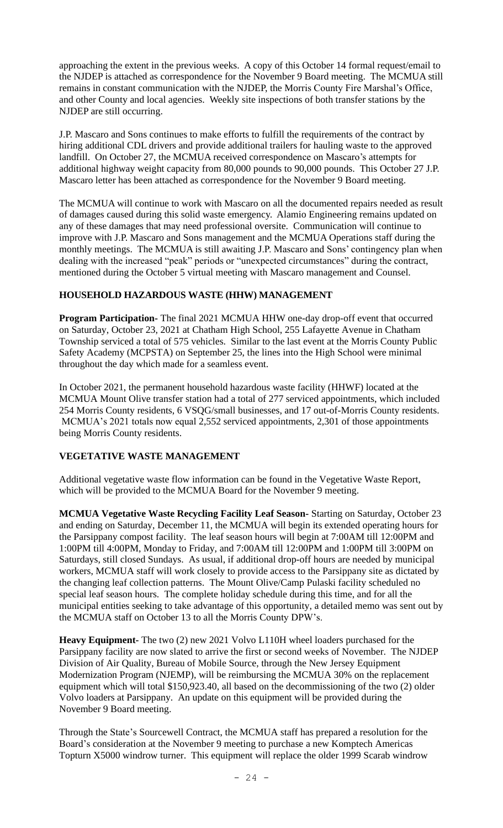approaching the extent in the previous weeks. A copy of this October 14 formal request/email to the NJDEP is attached as correspondence for the November 9 Board meeting. The MCMUA still remains in constant communication with the NJDEP, the Morris County Fire Marshal's Office, and other County and local agencies. Weekly site inspections of both transfer stations by the NJDEP are still occurring.

J.P. Mascaro and Sons continues to make efforts to fulfill the requirements of the contract by hiring additional CDL drivers and provide additional trailers for hauling waste to the approved landfill. On October 27, the MCMUA received correspondence on Mascaro's attempts for additional highway weight capacity from 80,000 pounds to 90,000 pounds. This October 27 J.P. Mascaro letter has been attached as correspondence for the November 9 Board meeting.

The MCMUA will continue to work with Mascaro on all the documented repairs needed as result of damages caused during this solid waste emergency. Alamio Engineering remains updated on any of these damages that may need professional oversite. Communication will continue to improve with J.P. Mascaro and Sons management and the MCMUA Operations staff during the monthly meetings. The MCMUA is still awaiting J.P. Mascaro and Sons' contingency plan when dealing with the increased "peak" periods or "unexpected circumstances" during the contract, mentioned during the October 5 virtual meeting with Mascaro management and Counsel.

# **HOUSEHOLD HAZARDOUS WASTE (HHW) MANAGEMENT**

**Program Participation-** The final 2021 MCMUA HHW one-day drop-off event that occurred on Saturday, October 23, 2021 at Chatham High School, 255 Lafayette Avenue in Chatham Township serviced a total of 575 vehicles. Similar to the last event at the Morris County Public Safety Academy (MCPSTA) on September 25, the lines into the High School were minimal throughout the day which made for a seamless event.

In October 2021, the permanent household hazardous waste facility (HHWF) located at the MCMUA Mount Olive transfer station had a total of 277 serviced appointments, which included 254 Morris County residents, 6 VSQG/small businesses, and 17 out-of-Morris County residents. MCMUA's 2021 totals now equal 2,552 serviced appointments, 2,301 of those appointments being Morris County residents.

# **VEGETATIVE WASTE MANAGEMENT**

Additional vegetative waste flow information can be found in the Vegetative Waste Report, which will be provided to the MCMUA Board for the November 9 meeting.

**MCMUA Vegetative Waste Recycling Facility Leaf Season-** Starting on Saturday, October 23 and ending on Saturday, December 11, the MCMUA will begin its extended operating hours for the Parsippany compost facility. The leaf season hours will begin at 7:00AM till 12:00PM and 1:00PM till 4:00PM, Monday to Friday, and 7:00AM till 12:00PM and 1:00PM till 3:00PM on Saturdays, still closed Sundays. As usual, if additional drop-off hours are needed by municipal workers, MCMUA staff will work closely to provide access to the Parsippany site as dictated by the changing leaf collection patterns. The Mount Olive/Camp Pulaski facility scheduled no special leaf season hours. The complete holiday schedule during this time, and for all the municipal entities seeking to take advantage of this opportunity, a detailed memo was sent out by the MCMUA staff on October 13 to all the Morris County DPW's.

**Heavy Equipment-** The two (2) new 2021 Volvo L110H wheel loaders purchased for the Parsippany facility are now slated to arrive the first or second weeks of November. The NJDEP Division of Air Quality, Bureau of Mobile Source, through the New Jersey Equipment Modernization Program (NJEMP), will be reimbursing the MCMUA 30% on the replacement equipment which will total \$150,923.40, all based on the decommissioning of the two (2) older Volvo loaders at Parsippany. An update on this equipment will be provided during the November 9 Board meeting.

Through the State's Sourcewell Contract, the MCMUA staff has prepared a resolution for the Board's consideration at the November 9 meeting to purchase a new Komptech Americas Topturn X5000 windrow turner. This equipment will replace the older 1999 Scarab windrow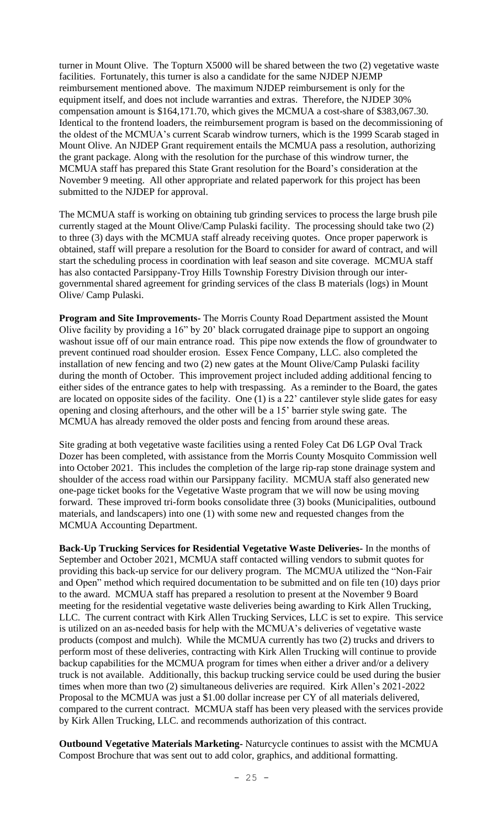turner in Mount Olive. The Topturn X5000 will be shared between the two (2) vegetative waste facilities. Fortunately, this turner is also a candidate for the same NJDEP NJEMP reimbursement mentioned above. The maximum NJDEP reimbursement is only for the equipment itself, and does not include warranties and extras. Therefore, the NJDEP 30% compensation amount is \$164,171.70, which gives the MCMUA a cost-share of \$383,067.30. Identical to the frontend loaders, the reimbursement program is based on the decommissioning of the oldest of the MCMUA's current Scarab windrow turners, which is the 1999 Scarab staged in Mount Olive. An NJDEP Grant requirement entails the MCMUA pass a resolution, authorizing the grant package. Along with the resolution for the purchase of this windrow turner, the MCMUA staff has prepared this State Grant resolution for the Board's consideration at the November 9 meeting. All other appropriate and related paperwork for this project has been submitted to the NJDEP for approval.

The MCMUA staff is working on obtaining tub grinding services to process the large brush pile currently staged at the Mount Olive/Camp Pulaski facility. The processing should take two (2) to three (3) days with the MCMUA staff already receiving quotes. Once proper paperwork is obtained, staff will prepare a resolution for the Board to consider for award of contract, and will start the scheduling process in coordination with leaf season and site coverage. MCMUA staff has also contacted Parsippany-Troy Hills Township Forestry Division through our intergovernmental shared agreement for grinding services of the class B materials (logs) in Mount Olive/ Camp Pulaski.

**Program and Site Improvements-** The Morris County Road Department assisted the Mount Olive facility by providing a 16" by 20' black corrugated drainage pipe to support an ongoing washout issue off of our main entrance road. This pipe now extends the flow of groundwater to prevent continued road shoulder erosion. Essex Fence Company, LLC. also completed the installation of new fencing and two (2) new gates at the Mount Olive/Camp Pulaski facility during the month of October. This improvement project included adding additional fencing to either sides of the entrance gates to help with trespassing. As a reminder to the Board, the gates are located on opposite sides of the facility. One (1) is a 22' cantilever style slide gates for easy opening and closing afterhours, and the other will be a 15' barrier style swing gate. The MCMUA has already removed the older posts and fencing from around these areas.

Site grading at both vegetative waste facilities using a rented Foley Cat D6 LGP Oval Track Dozer has been completed, with assistance from the Morris County Mosquito Commission well into October 2021. This includes the completion of the large rip-rap stone drainage system and shoulder of the access road within our Parsippany facility. MCMUA staff also generated new one-page ticket books for the Vegetative Waste program that we will now be using moving forward. These improved tri-form books consolidate three (3) books (Municipalities, outbound materials, and landscapers) into one (1) with some new and requested changes from the MCMUA Accounting Department.

**Back-Up Trucking Services for Residential Vegetative Waste Deliveries-** In the months of September and October 2021, MCMUA staff contacted willing vendors to submit quotes for providing this back-up service for our delivery program. The MCMUA utilized the "Non-Fair and Open" method which required documentation to be submitted and on file ten (10) days prior to the award. MCMUA staff has prepared a resolution to present at the November 9 Board meeting for the residential vegetative waste deliveries being awarding to Kirk Allen Trucking, LLC. The current contract with Kirk Allen Trucking Services, LLC is set to expire. This service is utilized on an as-needed basis for help with the MCMUA's deliveries of vegetative waste products (compost and mulch). While the MCMUA currently has two (2) trucks and drivers to perform most of these deliveries, contracting with Kirk Allen Trucking will continue to provide backup capabilities for the MCMUA program for times when either a driver and/or a delivery truck is not available. Additionally, this backup trucking service could be used during the busier times when more than two (2) simultaneous deliveries are required. Kirk Allen's 2021-2022 Proposal to the MCMUA was just a \$1.00 dollar increase per CY of all materials delivered, compared to the current contract. MCMUA staff has been very pleased with the services provide by Kirk Allen Trucking, LLC. and recommends authorization of this contract.

**Outbound Vegetative Materials Marketing-** Naturcycle continues to assist with the MCMUA Compost Brochure that was sent out to add color, graphics, and additional formatting.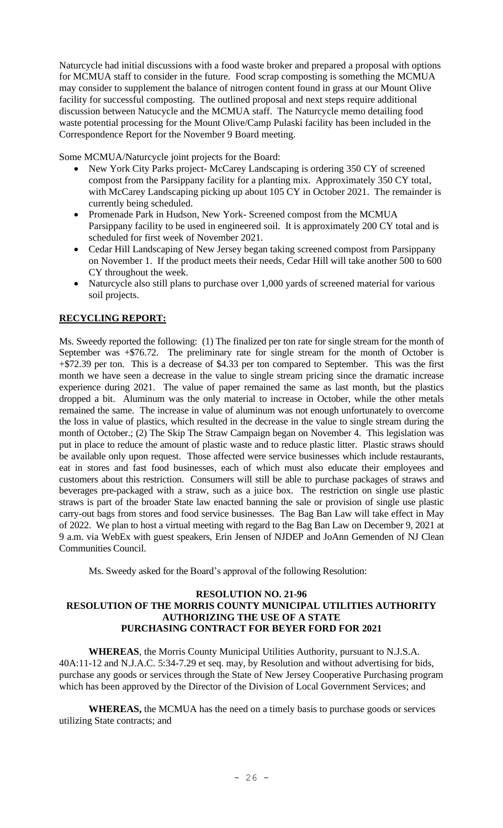Naturcycle had initial discussions with a food waste broker and prepared a proposal with options for MCMUA staff to consider in the future. Food scrap composting is something the MCMUA may consider to supplement the balance of nitrogen content found in grass at our Mount Olive facility for successful composting. The outlined proposal and next steps require additional discussion between Natucycle and the MCMUA staff. The Naturcycle memo detailing food waste potential processing for the Mount Olive/Camp Pulaski facility has been included in the Correspondence Report for the November 9 Board meeting.

Some MCMUA/Naturcycle joint projects for the Board:

- New York City Parks project- McCarey Landscaping is ordering 350 CY of screened compost from the Parsippany facility for a planting mix. Approximately 350 CY total, with McCarey Landscaping picking up about 105 CY in October 2021. The remainder is currently being scheduled.
- Promenade Park in Hudson, New York- Screened compost from the MCMUA Parsippany facility to be used in engineered soil. It is approximately 200 CY total and is scheduled for first week of November 2021.
- Cedar Hill Landscaping of New Jersey began taking screened compost from Parsippany on November 1. If the product meets their needs, Cedar Hill will take another 500 to 600 CY throughout the week.
- Naturcycle also still plans to purchase over 1,000 yards of screened material for various soil projects.

# **RECYCLING REPORT:**

Ms. Sweedy reported the following: (1) The finalized per ton rate for single stream for the month of September was +\$76.72. The preliminary rate for single stream for the month of October is +\$72.39 per ton. This is a decrease of \$4.33 per ton compared to September. This was the first month we have seen a decrease in the value to single stream pricing since the dramatic increase experience during 2021. The value of paper remained the same as last month, but the plastics dropped a bit. Aluminum was the only material to increase in October, while the other metals remained the same. The increase in value of aluminum was not enough unfortunately to overcome the loss in value of plastics, which resulted in the decrease in the value to single stream during the month of October.; (2) The Skip The Straw Campaign began on November 4. This legislation was put in place to reduce the amount of plastic waste and to reduce plastic litter. Plastic straws should be available only upon request. Those affected were service businesses which include restaurants, eat in stores and fast food businesses, each of which must also educate their employees and customers about this restriction. Consumers will still be able to purchase packages of straws and beverages pre-packaged with a straw, such as a juice box. The restriction on single use plastic straws is part of the broader State law enacted banning the sale or provision of single use plastic carry-out bags from stores and food service businesses. The Bag Ban Law will take effect in May of 2022. We plan to host a virtual meeting with regard to the Bag Ban Law on December 9, 2021 at 9 a.m. via WebEx with guest speakers, Erin Jensen of NJDEP and JoAnn Gemenden of NJ Clean Communities Council.

Ms. Sweedy asked for the Board's approval of the following Resolution:

## **RESOLUTION NO. 21-96 RESOLUTION OF THE MORRIS COUNTY MUNICIPAL UTILITIES AUTHORITY AUTHORIZING THE USE OF A STATE PURCHASING CONTRACT FOR BEYER FORD FOR 2021**

**WHEREAS**, the Morris County Municipal Utilities Authority, pursuant to N.J.S.A. 40A:11-12 and N.J.A.C. 5:34-7.29 et seq. may, by Resolution and without advertising for bids, purchase any goods or services through the State of New Jersey Cooperative Purchasing program which has been approved by the Director of the Division of Local Government Services; and

**WHEREAS,** the MCMUA has the need on a timely basis to purchase goods or services utilizing State contracts; and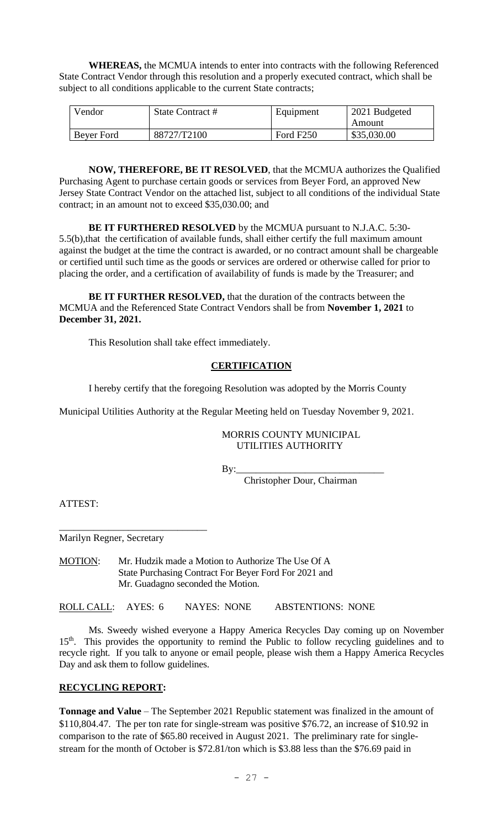**WHEREAS,** the MCMUA intends to enter into contracts with the following Referenced State Contract Vendor through this resolution and a properly executed contract, which shall be subject to all conditions applicable to the current State contracts;

| Vendor     | State Contract # | Equipment             | 2021 Budgeted |
|------------|------------------|-----------------------|---------------|
|            |                  |                       | Amount        |
| Bever Ford | 88727/T2100      | Ford F <sub>250</sub> | \$35,030.00   |

**NOW, THEREFORE, BE IT RESOLVED**, that the MCMUA authorizes the Qualified Purchasing Agent to purchase certain goods or services from Beyer Ford, an approved New Jersey State Contract Vendor on the attached list, subject to all conditions of the individual State contract; in an amount not to exceed \$35,030.00; and

**BE IT FURTHERED RESOLVED** by the MCMUA pursuant to N.J.A.C. 5:30- 5.5(b),that the certification of available funds, shall either certify the full maximum amount against the budget at the time the contract is awarded, or no contract amount shall be chargeable or certified until such time as the goods or services are ordered or otherwise called for prior to placing the order, and a certification of availability of funds is made by the Treasurer; and

**BE IT FURTHER RESOLVED,** that the duration of the contracts between the MCMUA and the Referenced State Contract Vendors shall be from **November 1, 2021** to **December 31, 2021.**

This Resolution shall take effect immediately.

# **CERTIFICATION**

I hereby certify that the foregoing Resolution was adopted by the Morris County

Municipal Utilities Authority at the Regular Meeting held on Tuesday November 9, 2021.

 MORRIS COUNTY MUNICIPAL UTILITIES AUTHORITY

By:\_\_\_\_\_\_\_\_\_\_\_\_\_\_\_\_\_\_\_\_\_\_\_\_\_\_\_\_\_\_

Christopher Dour, Chairman

ATTEST:

Marilyn Regner, Secretary

\_\_\_\_\_\_\_\_\_\_\_\_\_\_\_\_\_\_\_\_\_\_\_\_\_\_\_\_\_\_

MOTION: Mr. Hudzik made a Motion to Authorize The Use Of A State Purchasing Contract For Beyer Ford For 2021 and Mr. Guadagno seconded the Motion.

ROLL CALL: AYES: 6 NAYES: NONE ABSTENTIONS: NONE

Ms. Sweedy wished everyone a Happy America Recycles Day coming up on November 15<sup>th</sup>. This provides the opportunity to remind the Public to follow recycling guidelines and to recycle right. If you talk to anyone or email people, please wish them a Happy America Recycles Day and ask them to follow guidelines.

## **RECYCLING REPORT:**

**Tonnage and Value** – The September 2021 Republic statement was finalized in the amount of \$110,804.47. The per ton rate for single-stream was positive \$76.72, an increase of \$10.92 in comparison to the rate of \$65.80 received in August 2021. The preliminary rate for singlestream for the month of October is \$72.81/ton which is \$3.88 less than the \$76.69 paid in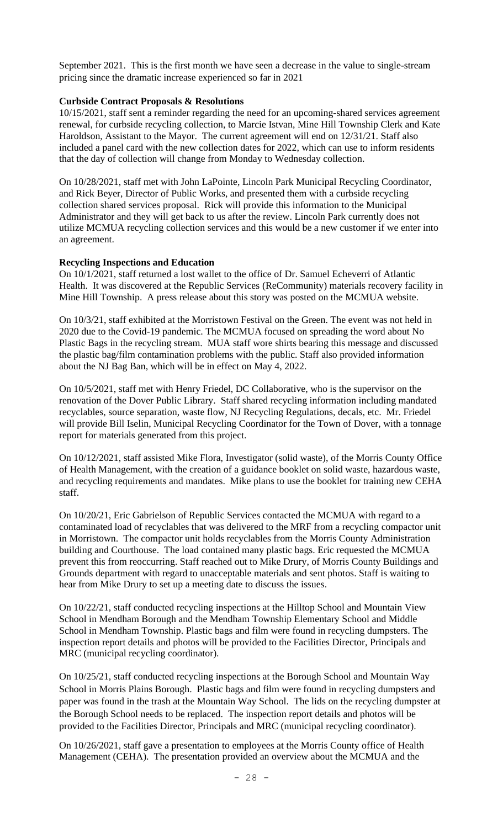September 2021. This is the first month we have seen a decrease in the value to single-stream pricing since the dramatic increase experienced so far in 2021

#### **Curbside Contract Proposals & Resolutions**

10/15/2021, staff sent a reminder regarding the need for an upcoming-shared services agreement renewal, for curbside recycling collection, to Marcie Istvan, Mine Hill Township Clerk and Kate Haroldson, Assistant to the Mayor. The current agreement will end on 12/31/21. Staff also included a panel card with the new collection dates for 2022, which can use to inform residents that the day of collection will change from Monday to Wednesday collection.

On 10/28/2021, staff met with John LaPointe, Lincoln Park Municipal Recycling Coordinator, and Rick Beyer, Director of Public Works, and presented them with a curbside recycling collection shared services proposal. Rick will provide this information to the Municipal Administrator and they will get back to us after the review. Lincoln Park currently does not utilize MCMUA recycling collection services and this would be a new customer if we enter into an agreement.

#### **Recycling Inspections and Education**

On 10/1/2021, staff returned a lost wallet to the office of Dr. Samuel Echeverri of Atlantic Health. It was discovered at the Republic Services (ReCommunity) materials recovery facility in Mine Hill Township. A press release about this story was posted on the MCMUA website.

On 10/3/21, staff exhibited at the Morristown Festival on the Green. The event was not held in 2020 due to the Covid-19 pandemic. The MCMUA focused on spreading the word about No Plastic Bags in the recycling stream. MUA staff wore shirts bearing this message and discussed the plastic bag/film contamination problems with the public. Staff also provided information about the NJ Bag Ban, which will be in effect on May 4, 2022.

On 10/5/2021, staff met with Henry Friedel, DC Collaborative, who is the supervisor on the renovation of the Dover Public Library. Staff shared recycling information including mandated recyclables, source separation, waste flow, NJ Recycling Regulations, decals, etc. Mr. Friedel will provide Bill Iselin, Municipal Recycling Coordinator for the Town of Dover, with a tonnage report for materials generated from this project.

On 10/12/2021, staff assisted Mike Flora, Investigator (solid waste), of the Morris County Office of Health Management, with the creation of a guidance booklet on solid waste, hazardous waste, and recycling requirements and mandates. Mike plans to use the booklet for training new CEHA staff.

On 10/20/21, Eric Gabrielson of Republic Services contacted the MCMUA with regard to a contaminated load of recyclables that was delivered to the MRF from a recycling compactor unit in Morristown. The compactor unit holds recyclables from the Morris County Administration building and Courthouse. The load contained many plastic bags. Eric requested the MCMUA prevent this from reoccurring. Staff reached out to Mike Drury, of Morris County Buildings and Grounds department with regard to unacceptable materials and sent photos. Staff is waiting to hear from Mike Drury to set up a meeting date to discuss the issues.

On 10/22/21, staff conducted recycling inspections at the Hilltop School and Mountain View School in Mendham Borough and the Mendham Township Elementary School and Middle School in Mendham Township. Plastic bags and film were found in recycling dumpsters. The inspection report details and photos will be provided to the Facilities Director, Principals and MRC (municipal recycling coordinator).

On 10/25/21, staff conducted recycling inspections at the Borough School and Mountain Way School in Morris Plains Borough. Plastic bags and film were found in recycling dumpsters and paper was found in the trash at the Mountain Way School. The lids on the recycling dumpster at the Borough School needs to be replaced. The inspection report details and photos will be provided to the Facilities Director, Principals and MRC (municipal recycling coordinator).

On 10/26/2021, staff gave a presentation to employees at the Morris County office of Health Management (CEHA). The presentation provided an overview about the MCMUA and the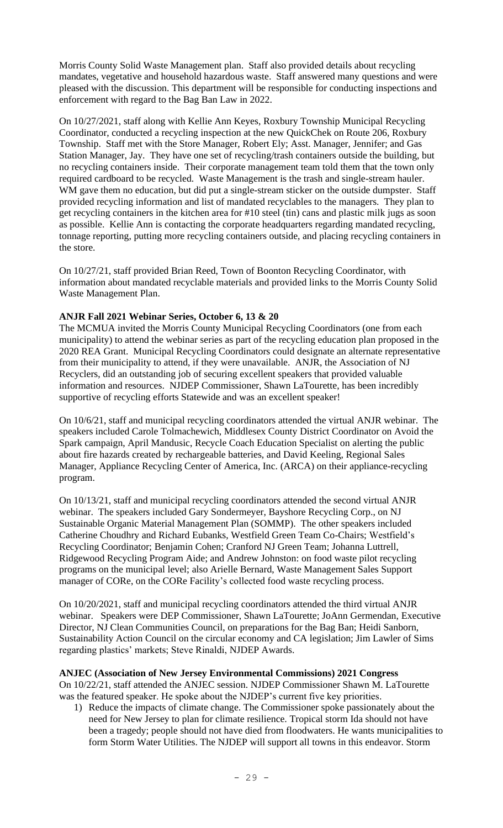Morris County Solid Waste Management plan. Staff also provided details about recycling mandates, vegetative and household hazardous waste. Staff answered many questions and were pleased with the discussion. This department will be responsible for conducting inspections and enforcement with regard to the Bag Ban Law in 2022.

On 10/27/2021, staff along with Kellie Ann Keyes, Roxbury Township Municipal Recycling Coordinator, conducted a recycling inspection at the new QuickChek on Route 206, Roxbury Township. Staff met with the Store Manager, Robert Ely; Asst. Manager, Jennifer; and Gas Station Manager, Jay. They have one set of recycling/trash containers outside the building, but no recycling containers inside. Their corporate management team told them that the town only required cardboard to be recycled. Waste Management is the trash and single-stream hauler. WM gave them no education, but did put a single-stream sticker on the outside dumpster. Staff provided recycling information and list of mandated recyclables to the managers. They plan to get recycling containers in the kitchen area for #10 steel (tin) cans and plastic milk jugs as soon as possible. Kellie Ann is contacting the corporate headquarters regarding mandated recycling, tonnage reporting, putting more recycling containers outside, and placing recycling containers in the store.

On 10/27/21, staff provided Brian Reed, Town of Boonton Recycling Coordinator, with information about mandated recyclable materials and provided links to the Morris County Solid Waste Management Plan.

# **ANJR Fall 2021 Webinar Series, October 6, 13 & 20**

The MCMUA invited the Morris County Municipal Recycling Coordinators (one from each municipality) to attend the webinar series as part of the recycling education plan proposed in the 2020 REA Grant. Municipal Recycling Coordinators could designate an alternate representative from their municipality to attend, if they were unavailable. ANJR, the Association of NJ Recyclers, did an outstanding job of securing excellent speakers that provided valuable information and resources. NJDEP Commissioner, Shawn LaTourette, has been incredibly supportive of recycling efforts Statewide and was an excellent speaker!

On 10/6/21, staff and municipal recycling coordinators attended the virtual ANJR webinar. The speakers included Carole Tolmachewich, Middlesex County District Coordinator on Avoid the Spark campaign, April Mandusic, Recycle Coach Education Specialist on alerting the public about fire hazards created by rechargeable batteries, and David Keeling, Regional Sales Manager, Appliance Recycling Center of America, Inc. (ARCA) on their appliance-recycling program.

On 10/13/21, staff and municipal recycling coordinators attended the second virtual ANJR webinar. The speakers included Gary Sondermeyer, Bayshore Recycling Corp., on NJ Sustainable Organic Material Management Plan (SOMMP). The other speakers included Catherine Choudhry and Richard Eubanks, Westfield Green Team Co-Chairs; Westfield's Recycling Coordinator; Benjamin Cohen; Cranford NJ Green Team; Johanna Luttrell, Ridgewood Recycling Program Aide; and Andrew Johnston: on food waste pilot recycling programs on the municipal level; also Arielle Bernard, Waste Management Sales Support manager of CORe, on the CORe Facility's collected food waste recycling process.

On 10/20/2021, staff and municipal recycling coordinators attended the third virtual ANJR webinar. Speakers were DEP Commissioner, Shawn LaTourette; JoAnn Germendan, Executive Director, NJ Clean Communities Council, on preparations for the Bag Ban; Heidi Sanborn, Sustainability Action Council on the circular economy and CA legislation; Jim Lawler of Sims regarding plastics' markets; Steve Rinaldi, NJDEP Awards.

### **ANJEC (Association of New Jersey Environmental Commissions) 2021 Congress**

On 10/22/21, staff attended the ANJEC session. NJDEP Commissioner Shawn M. LaTourette was the featured speaker. He spoke about the NJDEP's current five key priorities.

1) Reduce the impacts of climate change. The Commissioner spoke passionately about the need for New Jersey to plan for climate resilience. Tropical storm Ida should not have been a tragedy; people should not have died from floodwaters. He wants municipalities to form Storm Water Utilities. The NJDEP will support all towns in this endeavor. Storm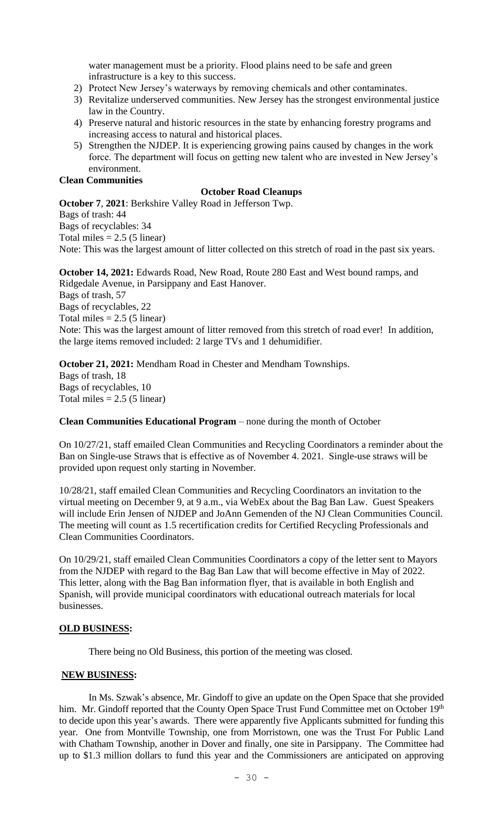water management must be a priority. Flood plains need to be safe and green infrastructure is a key to this success.

- 2) Protect New Jersey's waterways by removing chemicals and other contaminates.
- 3) Revitalize underserved communities. New Jersey has the strongest environmental justice law in the Country.
- 4) Preserve natural and historic resources in the state by enhancing forestry programs and increasing access to natural and historical places.
- 5) Strengthen the NJDEP. It is experiencing growing pains caused by changes in the work force. The department will focus on getting new talent who are invested in New Jersey's environment.

#### **Clean Communities**

## **October Road Cleanups**

**October 7**, **2021**: Berkshire Valley Road in Jefferson Twp. Bags of trash: 44 Bags of recyclables: 34 Total miles  $= 2.5$  (5 linear) Note: This was the largest amount of litter collected on this stretch of road in the past six years.

**October 14, 2021:** Edwards Road, New Road, Route 280 East and West bound ramps, and Ridgedale Avenue, in Parsippany and East Hanover. Bags of trash, 57 Bags of recyclables, 22 Total miles  $= 2.5$  (5 linear) Note: This was the largest amount of litter removed from this stretch of road ever! In addition, the large items removed included: 2 large TVs and 1 dehumidifier.

**October 21, 2021:** Mendham Road in Chester and Mendham Townships. Bags of trash, 18 Bags of recyclables, 10 Total miles  $= 2.5$  (5 linear)

**Clean Communities Educational Program** – none during the month of October

On 10/27/21, staff emailed Clean Communities and Recycling Coordinators a reminder about the Ban on Single-use Straws that is effective as of November 4. 2021. Single-use straws will be provided upon request only starting in November.

10/28/21, staff emailed Clean Communities and Recycling Coordinators an invitation to the virtual meeting on December 9, at 9 a.m., via WebEx about the Bag Ban Law. Guest Speakers will include Erin Jensen of NJDEP and JoAnn Gemenden of the NJ Clean Communities Council. The meeting will count as 1.5 recertification credits for Certified Recycling Professionals and Clean Communities Coordinators.

On 10/29/21, staff emailed Clean Communities Coordinators a copy of the letter sent to Mayors from the NJDEP with regard to the Bag Ban Law that will become effective in May of 2022. This letter, along with the Bag Ban information flyer, that is available in both English and Spanish, will provide municipal coordinators with educational outreach materials for local businesses.

#### **OLD BUSINESS:**

There being no Old Business, this portion of the meeting was closed.

### **NEW BUSINESS:**

In Ms. Szwak's absence, Mr. Gindoff to give an update on the Open Space that she provided him. Mr. Gindoff reported that the County Open Space Trust Fund Committee met on October 19<sup>th</sup> to decide upon this year's awards. There were apparently five Applicants submitted for funding this year. One from Montville Township, one from Morristown, one was the Trust For Public Land with Chatham Township, another in Dover and finally, one site in Parsippany. The Committee had up to \$1.3 million dollars to fund this year and the Commissioners are anticipated on approving